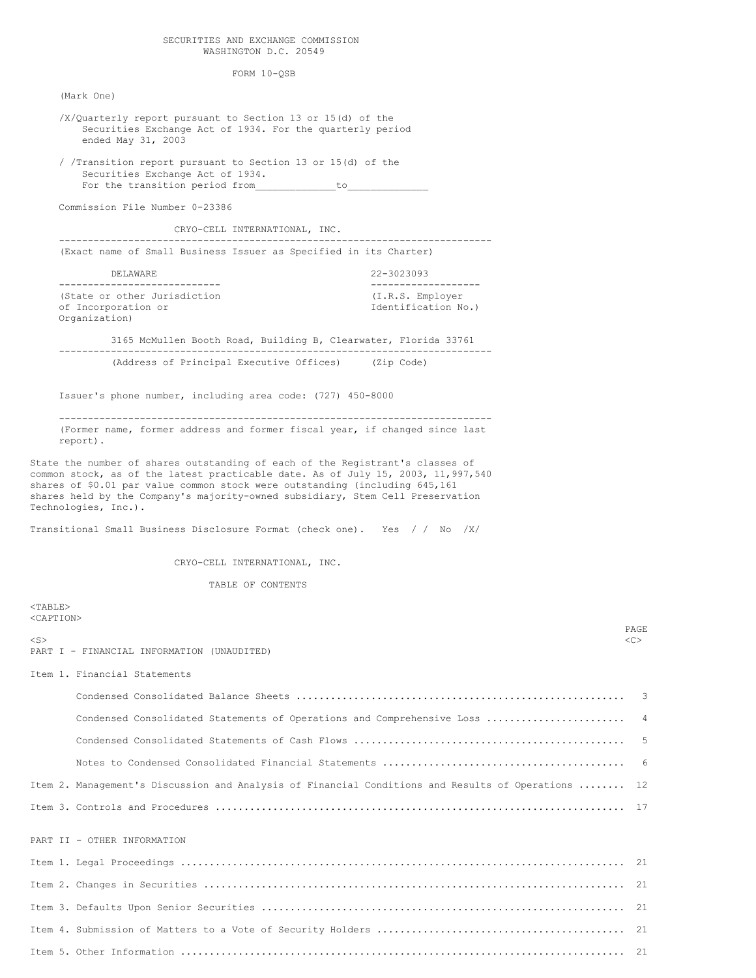### SECURITIES AND EXCHANGE COMMISSION WASHINGTON D.C. 20549

FORM 10-QSB

(Mark One)

<TABLE>

- /X/Quarterly report pursuant to Section 13 or 15(d) of the Securities Exchange Act of 1934. For the quarterly period ended May 31, 2003 / /Transition report pursuant to Section 13 or 15(d) of the Securities Exchange Act of 1934. For the transition period from to Commission File Number 0-23386 CRYO-CELL INTERNATIONAL, INC. --------------------------------------------------------------------------- (Exact name of Small Business Issuer as Specified in its Charter) DELAWARE 22-3023093 ---------------------------- ------------------- (State or other Jurisdiction (I.R.S. Employer of Incorporation or Identification No.) Organization)
- 3165 McMullen Booth Road, Building B, Clearwater, Florida 33761 --------------------------------------------------------------------------- (Address of Principal Executive Offices) (Zip Code)

Issuer's phone number, including area code: (727) 450-8000

--------------------------------------------------------------------------- (Former name, former address and former fiscal year, if changed since last report).

State the number of shares outstanding of each of the Registrant's classes of common stock, as of the latest practicable date. As of July 15, 2003, 11,997,540 shares of \$0.01 par value common stock were outstanding (including 645,161 shares held by the Company's majority-owned subsidiary, Stem Cell Preservation Technologies, Inc.).

Transitional Small Business Disclosure Format (check one). Yes / / No /X/

CRYO-CELL INTERNATIONAL, INC.

TABLE OF CONTENTS

<CAPTION> PAGE <S> <C> PART I - FINANCIAL INFORMATION (UNAUDITED) Item 1. Financial Statements Condensed Consolidated Balance Sheets ......................................................... 3 Condensed Consolidated Statements of Operations and Comprehensive Loss ........................... 4 Condensed Consolidated Statements of Cash Flows ............................................... 5 Notes to Condensed Consolidated Financial Statements .......................................... 6 Item 2. Management's Discussion and Analysis of Financial Conditions and Results of Operations ........ 12 Item 3. Controls and Procedures ....................................................................... 17 PART II - OTHER INFORMATION Item 1. Legal Proceedings ............................................................................. 21 Item 2. Changes in Securities ......................................................................... 21 Item 3. Defaults Upon Senior Securities ............................................................... 21

Item 4. Submission of Matters to a Vote of Security Holders ........................................... 21 Item 5. Other Information ............................................................................. 21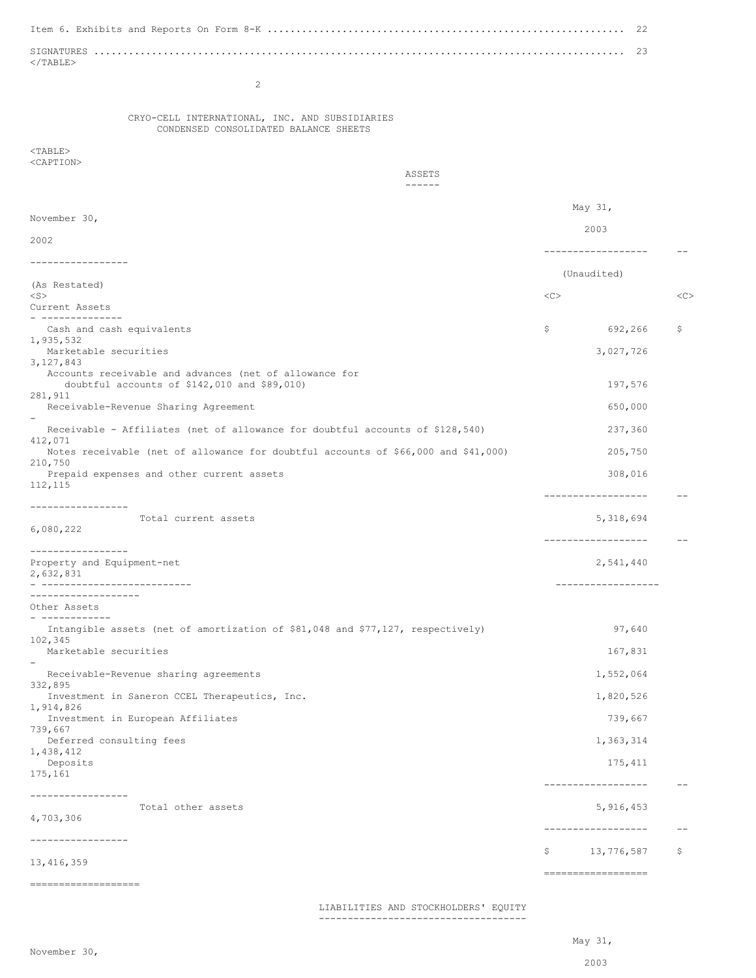Item 6. Exhibits and Reports On Form 8-K .............................................................. 22 SIGNATURES ............................................................................................ 23  $<$ /TABLE> 2 CRYO-CELL INTERNATIONAL, INC. AND SUBSIDIARIES CONDENSED CONSOLIDATED BALANCE SHEETS  $<$ TABLE> <CAPTION> ASSETS ------ May 31, November 30, 2003 2002 ------------------ -- ----------------- (Unaudited) (As Restated) <S> <C> <C> Current Assets - -------------- Cash and cash equivalents  $\zeta$  692,266  $\zeta$ 1,935,532 Marketable securities 3,027,726 3,127,843 Accounts receivable and advances (net of allowance for doubtful accounts of \$142,010 and \$89,010) 197,576 281,911 Receivable-Revenue Sharing Agreement 650,000 and the control of the control of the control of the control of the control of the control of the control of the control of the control of the control of the control of the cont - Receivable - Affiliates (net of allowance for doubtful accounts of \$128,540) 237,360 412,071 Notes receivable (net of allowance for doubtful accounts of \$66,000 and \$41,000) 205,750 210,750 Prepaid expenses and other current assets 308,016 112,115 ------------------ -- ----------------- Total current assets 5,318,694 6,080,222 ------------------ -- ----------------- Property and Equipment-net 2,541,440 2,632,831 - -------------------------- ------------------ ------------------- Other Assets - ------------ Intangible assets (net of amortization of \$81,048 and \$77,127, respectively) 97,640 102,345 Marketable securities 167,831 - Receivable-Revenue sharing agreements 1,552,064 332,895 Investment in Saneron CCEL Therapeutics, Inc. 1,820,526 1,914,826 Investment in European Affiliates 739,667 739,667 Deferred consulting fees 1,363,314 1,438,412<br>Deposits Deposits 175,411 175,161 ------------------ -- ----------------- Total other assets  $5,916,453$ 4,703,306 ------------------ -- ----------------- \$ 13,776,587 \$ 13,416,359 ================== ===================

LIABILITIES AND STOCKHOLDERS' EQUITY

------------------------------------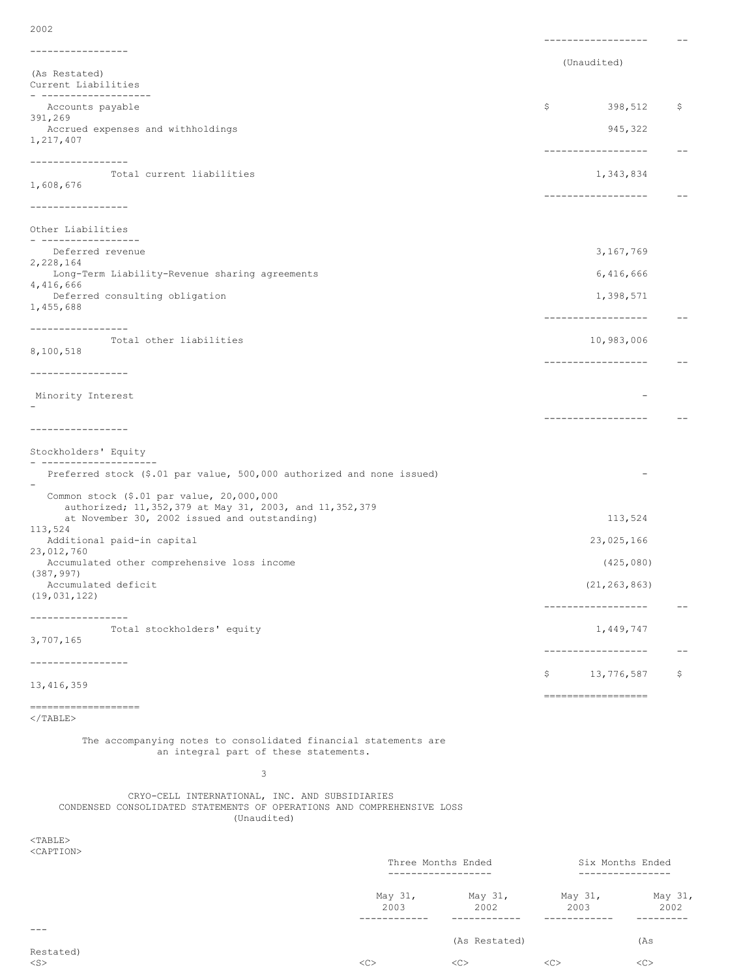------------------ -- ----------------- (Unaudited) (As Restated) Current Liabilities - ------------------- Accounts payable  $\sim$  398,512  $\sim$  398,512  $\sim$  398,512  $\sim$  398,512  $\sim$  398,512  $\sim$  398,512  $\sim$  398,512  $\sim$  398,512  $\sim$  398,512  $\sim$  398,512  $\sim$  398,512  $\sim$  398,512  $\sim$  398,512  $\sim$  398,512  $\sim$  398,512  $\sim$  398, 391,269 Accrued expenses and withholdings and  $945,322$ 1,217,407 ------------------ -- ----------------- Total current liabilities 1,343,834 1,608,676 ------------------ -- ----------------- Other Liabilities - ----------------- Deferred revenue 3,167,769 2,228,164 Long-Term Liability-Revenue sharing agreements 6,416,666 4,416,666 Deferred consulting obligation 1,398,571 1,455,688 ------------------ -- ----------------- Total other liabilities 10,983,006 8,100,518 ------------------ -- ----------------- Minority Interest - - ------------------ -- ----------------- Stockholders' Equity - -------------------- Preferred stock (\$.01 par value, 500,000 authorized and none issued) - Common stock (\$.01 par value, 20,000,000 authorized; 11,352,379 at May 31, 2003, and 11,352,379 at November 30, 2002 issued and outstanding) 113,524 113,524 Additional paid-in capital 23,025,166 23,012,760 Accumulated other comprehensive loss income (425,080) (387,997) Accumulated deficit (21,263,863) (19,031,122) ------------------ -- ----------------- Total stockholders' equity 1,449,747 3,707,165 ------------------ -- ----------------- \$ 13,776,587 \$ 13,416,359 ================== ===================  $\langle$ /TABLE $>$ The accompanying notes to consolidated financial statements are an integral part of these statements. 3 CRYO-CELL INTERNATIONAL, INC. AND SUBSIDIARIES CONDENSED CONSOLIDATED STATEMENTS OF OPERATIONS AND COMPREHENSIVE LOSS (Unaudited) <TABLE> <CAPTION> Three Months Ended Six Months Ended ------------------ ----------------

May 31, May 31, May 31, May 31, 2003 2002 2003 2002 ------------ ------------ ------------ --------- --- (As Restated) (As Restated) <S> <C> <C> <C> <C>

2002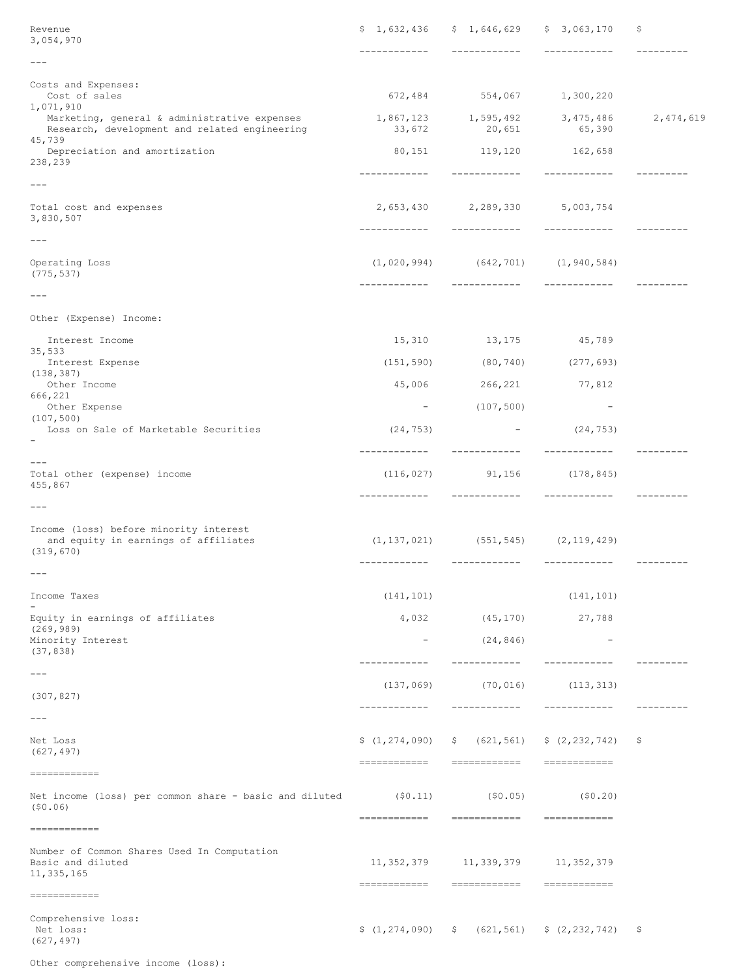| Revenue<br>3,054,970                                                                                    |                                 | $$1,632,436$ $$1,646,629$ $$3,063,170$                 |                                                                   | \$.         |
|---------------------------------------------------------------------------------------------------------|---------------------------------|--------------------------------------------------------|-------------------------------------------------------------------|-------------|
| $- - -$                                                                                                 | -------------                   | _____________                                          | ____________                                                      | ----------  |
| Costs and Expenses:<br>Cost of sales<br>1,071,910                                                       |                                 | 672,484 554,067 1,300,220                              |                                                                   |             |
| Marketing, general & administrative expenses<br>Research, development and related engineering<br>45,739 |                                 | 1,867,123 1,595,492<br>33,672 20,651                   | 3,475,486<br>65,390                                               | 2, 474, 619 |
| Depreciation and amortization<br>238,239                                                                |                                 | 80, 151 119, 120 162, 658                              |                                                                   |             |
| $\qquad \qquad - -$                                                                                     | ------------                    | -------------                                          | -------------                                                     |             |
| Total cost and expenses<br>3,830,507                                                                    |                                 | 2,653,430 2,289,330 5,003,754                          |                                                                   | ----------  |
| $---$                                                                                                   |                                 |                                                        |                                                                   |             |
| Operating Loss<br>(775, 537)                                                                            |                                 | $(1, 020, 994)$ $(642, 701)$ $(1, 940, 584)$           | _____________                                                     |             |
| $---$                                                                                                   |                                 |                                                        |                                                                   |             |
| Other (Expense) Income:                                                                                 |                                 |                                                        |                                                                   |             |
| Interest Income                                                                                         |                                 | 15,310 13,175 45,789                                   |                                                                   |             |
| 35,533<br>Interest Expense                                                                              | (151, 590)                      | $(80, 740)$ $(277, 693)$                               |                                                                   |             |
| (138, 387)<br>Other Income                                                                              | 45,006                          | 266, 221 77, 812                                       |                                                                   |             |
| 666,221<br>Other Expense                                                                                | $ \,$                           | (107, 500)                                             | $\overline{\phantom{a}}$                                          |             |
| (107, 500)<br>Loss on Sale of Marketable Securities                                                     | (24, 753)                       |                                                        | $-$ (24,753)                                                      |             |
| $\qquad \qquad - -$<br>Total other (expense) income<br>455,867                                          | -------------<br>(116, 027)     | ____________<br>91,156 (178,845)                       | -------------                                                     | ---------   |
| $---$                                                                                                   |                                 |                                                        |                                                                   |             |
| Income (loss) before minority interest<br>and equity in earnings of affiliates<br>(319, 670)            |                                 | $(1, 137, 021)$ $(551, 545)$ $(2, 119, 429)$           |                                                                   |             |
| $---$                                                                                                   |                                 |                                                        |                                                                   | __________  |
| Income Taxes                                                                                            | (141, 101)                      |                                                        | (141, 101)                                                        |             |
| Equity in earnings of affiliates                                                                        | 4,032                           | (45, 170)                                              | 27,788                                                            |             |
| (269, 989)<br>Minority Interest<br>(37, 838)                                                            | $\qquad \qquad -$               | (24, 846)                                              | $\overline{\phantom{a}}$                                          |             |
| $---$                                                                                                   | ------------                    | ------------                                           | ------------                                                      | ---------   |
| (307, 827)                                                                                              | (137, 069)<br>------------      | (70, 016)<br>------------                              | (113, 313)<br>------------                                        | ---------   |
| $---$                                                                                                   |                                 |                                                        |                                                                   |             |
| Net Loss<br>(627, 497)                                                                                  | \$(1, 274, 090)<br>============ | ------------                                           | $\frac{1}{2}$ (621,561) $\frac{1}{2}$ (2,232,742)<br>------------ | Ş.          |
| =============<br>Net income (loss) per common share - basic and diluted<br>(50.06)                      | (50.11)<br>============         | (50.05)<br>============                                | (50.20)<br>=============                                          |             |
| ============                                                                                            |                                 |                                                        |                                                                   |             |
| Number of Common Shares Used In Computation<br>Basic and diluted<br>11, 335, 165<br>------------        | ============                    | 11, 352, 379 11, 339, 379 11, 352, 379<br>============ | <b>COORDINATE</b>                                                 |             |
| Comprehensive loss:<br>Net loss:<br>(627, 497)                                                          |                                 |                                                        | $$(1, 274, 090)$ $$(621, 561)$ $$(2, 232, 742)$                   | -\$         |

Other comprehensive income (loss):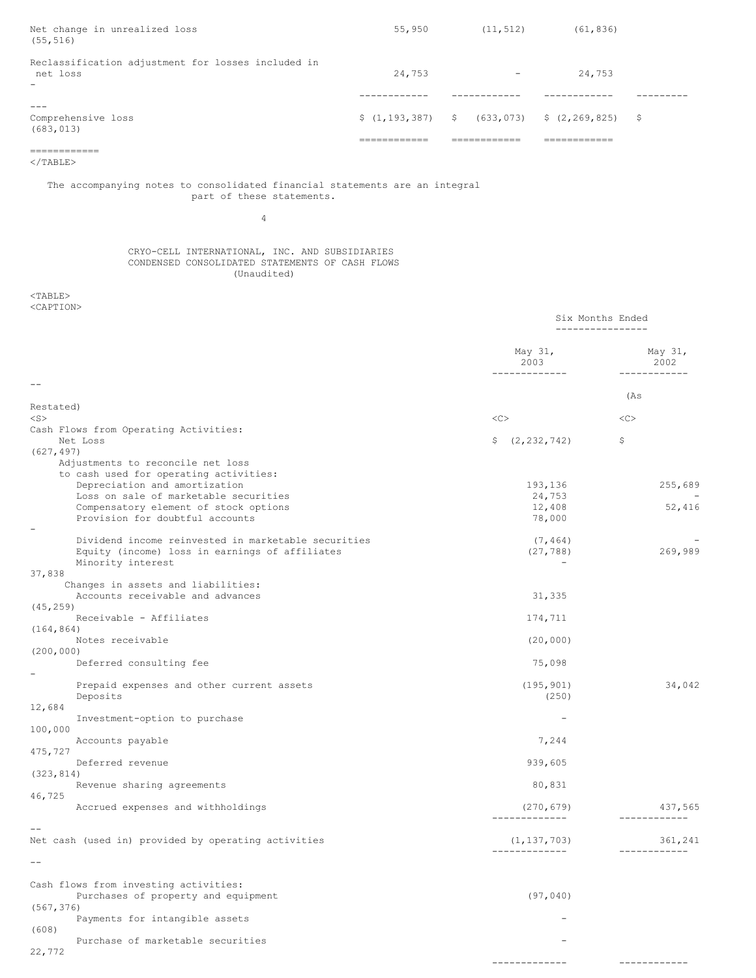| Net change in unrealized loss<br>(55, 516)                                                 | 55,950 | (11, 512)                | (61, 836)                                                                                 |  |
|--------------------------------------------------------------------------------------------|--------|--------------------------|-------------------------------------------------------------------------------------------|--|
| Reclassification adjustment for losses included in<br>net loss<br>$\overline{\phantom{0}}$ | 24,753 | $\overline{\phantom{0}}$ | 24,753                                                                                    |  |
|                                                                                            |        |                          |                                                                                           |  |
| Comprehensive loss<br>(683, 013)                                                           |        |                          | $\frac{1}{2}$ (1,193,387) $\frac{1}{2}$ (633,073) $\frac{1}{2}$ (2,269,825) $\frac{1}{2}$ |  |
|                                                                                            |        |                          |                                                                                           |  |
|                                                                                            |        |                          |                                                                                           |  |

 $<$ /TABLE $>$ 

# The accompanying notes to consolidated financial statements are an integral part of these statements.

4

### CRYO-CELL INTERNATIONAL, INC. AND SUBSIDIARIES CONDENSED CONSOLIDATED STATEMENTS OF CASH FLOWS (Unaudited)

<TABLE> <CAPTION>

|                                                                                                                                                | Six Months Ended<br>---------------- |                                 |
|------------------------------------------------------------------------------------------------------------------------------------------------|--------------------------------------|---------------------------------|
|                                                                                                                                                | May 31,<br>2003<br>___________       | May 31,<br>2002<br>____________ |
|                                                                                                                                                |                                      | (As                             |
| Restated)<br>$<$ S $>$                                                                                                                         | <<                                   | <<                              |
| Cash Flows from Operating Activities:<br>Net Loss<br>(627, 497)<br>Adjustments to reconcile net loss<br>to cash used for operating activities: | $\frac{2}{2}$ , 232, 742)            | \$                              |
| Depreciation and amortization                                                                                                                  | 193,136                              | 255,689                         |
| Loss on sale of marketable securities<br>Compensatory element of stock options<br>Provision for doubtful accounts                              | 24,753<br>12,408<br>78,000           | 52,416                          |
| Dividend income reinvested in marketable securities<br>Equity (income) loss in earnings of affiliates<br>Minority interest                     | (7, 464)<br>(27, 788)                | 269,989                         |
| 37,838<br>Changes in assets and liabilities:<br>Accounts receivable and advances<br>(45, 259)                                                  | 31,335                               |                                 |
| Receivable - Affiliates                                                                                                                        | 174,711                              |                                 |
| (164, 864)<br>Notes receivable                                                                                                                 | (20, 000)                            |                                 |
| (200, 000)<br>Deferred consulting fee                                                                                                          | 75,098                               |                                 |
| Prepaid expenses and other current assets<br>Deposits                                                                                          | (195, 901)<br>(250)                  | 34,042                          |
| 12,684<br>Investment-option to purchase                                                                                                        |                                      |                                 |
| 100,000<br>Accounts payable                                                                                                                    | 7,244                                |                                 |
| 475,727<br>Deferred revenue                                                                                                                    | 939,605                              |                                 |
| (323, 814)<br>Revenue sharing agreements                                                                                                       | 80,831                               |                                 |
| 46,725<br>Accrued expenses and withholdings                                                                                                    | (270, 679)<br>-------------          | 437,565<br>____________         |
| Net cash (used in) provided by operating activities                                                                                            | (1, 137, 703)<br>-------------       | 361,241<br>------------         |
|                                                                                                                                                |                                      |                                 |
| Cash flows from investing activities:<br>Purchases of property and equipment<br>(567, 376)                                                     | (97, 040)                            |                                 |
| Payments for intangible assets<br>(608)                                                                                                        |                                      |                                 |
| Purchase of marketable securities<br>22,772                                                                                                    |                                      |                                 |

------------- ------------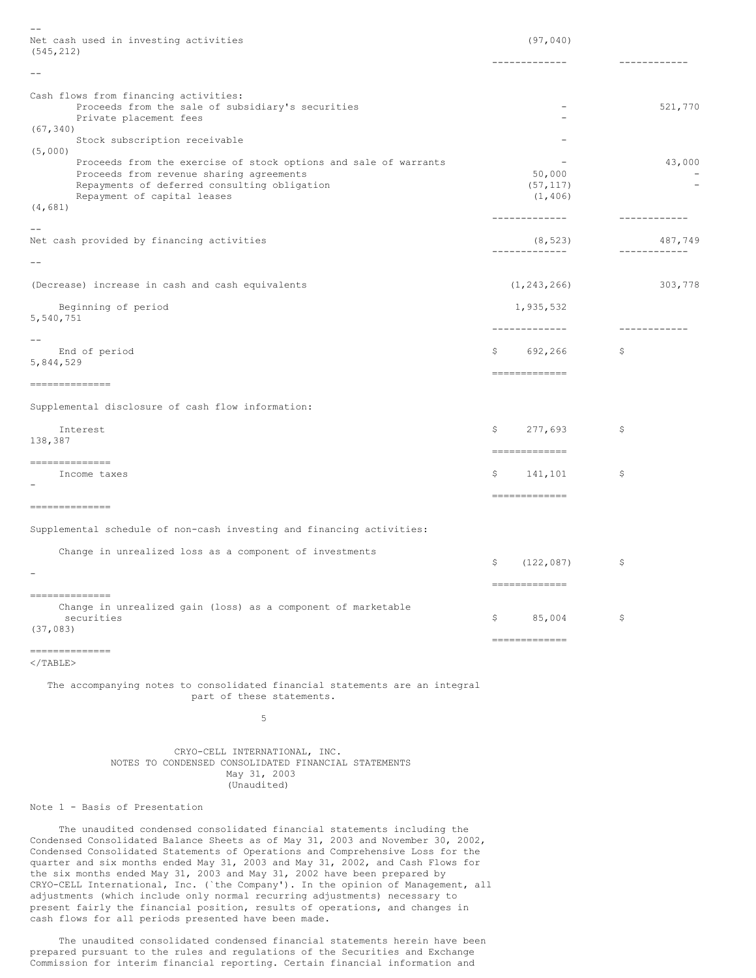| $-$                                                                                                                     |                                 |                          |
|-------------------------------------------------------------------------------------------------------------------------|---------------------------------|--------------------------|
| Net cash used in investing activities<br>(545, 212)                                                                     | (97, 040)                       |                          |
| $- -$                                                                                                                   | -------------                   | ------------             |
|                                                                                                                         |                                 |                          |
| Cash flows from financing activities:<br>Proceeds from the sale of subsidiary's securities                              | $\overline{\phantom{a}}$        | 521,770                  |
| Private placement fees<br>(67, 340)<br>Stock subscription receivable                                                    |                                 |                          |
| (5,000)<br>Proceeds from the exercise of stock options and sale of warrants                                             | $\overline{\phantom{a}}$        | 43,000                   |
| Proceeds from revenue sharing agreements<br>Repayments of deferred consulting obligation<br>Repayment of capital leases | 50,000<br>(57, 117)<br>(1, 406) | $\overline{\phantom{a}}$ |
| (4, 681)                                                                                                                | -------------                   | ------------             |
| Net cash provided by financing activities                                                                               | (8, 523)<br>--------------      | 487,749<br>------------  |
| $- -$                                                                                                                   |                                 |                          |
| (Decrease) increase in cash and cash equivalents                                                                        | (1, 243, 266)                   | 303,778                  |
| Beginning of period<br>5,540,751                                                                                        | 1,935,532                       |                          |
| $- -$                                                                                                                   | -------------                   | -------------            |
| End of period<br>5,844,529                                                                                              | 692,266<br>\$                   | \$                       |
| --------------                                                                                                          | ==============                  |                          |
| Supplemental disclosure of cash flow information:                                                                       |                                 |                          |
| Interest<br>138,387                                                                                                     | 277,693<br>\$<br>-------------  | \$                       |
| --------------<br>Income taxes                                                                                          | 141,101<br>\$                   | \$                       |
|                                                                                                                         | -------------                   |                          |
| --------------                                                                                                          |                                 |                          |
| Supplemental schedule of non-cash investing and financing activities:                                                   |                                 |                          |
| Change in unrealized loss as a component of investments                                                                 | (122, 087)<br>Ş.                | \$                       |
| $\overline{\phantom{0}}$                                                                                                | ==============                  |                          |
| --------------<br>Change in unrealized gain (loss) as a component of marketable<br>securities<br>(37, 083)              | \$<br>85,004                    | \$                       |
| --------------                                                                                                          | =============                   |                          |
| $\langle$ /TABLE>                                                                                                       |                                 |                          |
| The accompanying notes to consolidated financial statements are an integral<br>part of these statements.                |                                 |                          |

5

CRYO-CELL INTERNATIONAL, INC. NOTES TO CONDENSED CONSOLIDATED FINANCIAL STATEMENTS May 31, 2003 (Unaudited)

Note 1 - Basis of Presentation

The unaudited condensed consolidated financial statements including the Condensed Consolidated Balance Sheets as of May 31, 2003 and November 30, 2002, Condensed Consolidated Statements of Operations and Comprehensive Loss for the quarter and six months ended May 31, 2003 and May 31, 2002, and Cash Flows for the six months ended May 31, 2003 and May 31, 2002 have been prepared by CRYO-CELL International, Inc. (`the Company'). In the opinion of Management, all adjustments (which include only normal recurring adjustments) necessary to present fairly the financial position, results of operations, and changes in cash flows for all periods presented have been made.

The unaudited consolidated condensed financial statements herein have been prepared pursuant to the rules and regulations of the Securities and Exchange Commission for interim financial reporting. Certain financial information and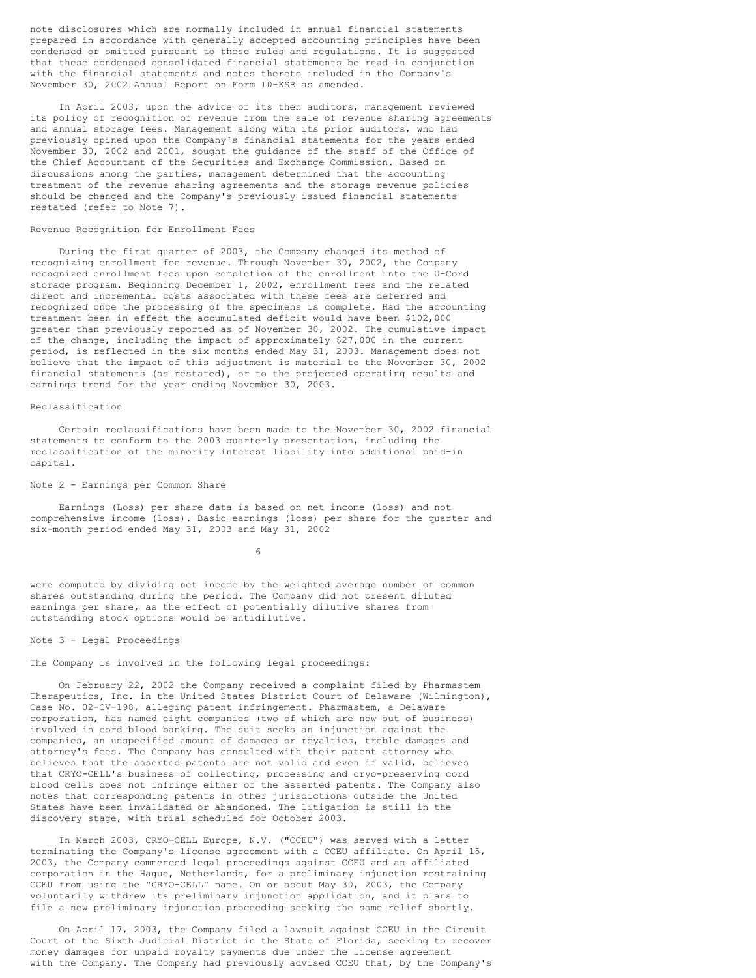note disclosures which are normally included in annual financial statements prepared in accordance with generally accepted accounting principles have been condensed or omitted pursuant to those rules and regulations. It is suggested that these condensed consolidated financial statements be read in conjunction with the financial statements and notes thereto included in the Company's November 30, 2002 Annual Report on Form 10-KSB as amended.

In April 2003, upon the advice of its then auditors, management reviewed its policy of recognition of revenue from the sale of revenue sharing agreements and annual storage fees. Management along with its prior auditors, who had previously opined upon the Company's financial statements for the years ended November 30, 2002 and 2001, sought the guidance of the staff of the Office of the Chief Accountant of the Securities and Exchange Commission. Based on discussions among the parties, management determined that the accounting treatment of the revenue sharing agreements and the storage revenue policies should be changed and the Company's previously issued financial statements restated (refer to Note 7).

## Revenue Recognition for Enrollment Fees

During the first quarter of 2003, the Company changed its method of recognizing enrollment fee revenue. Through November 30, 2002, the Company recognized enrollment fees upon completion of the enrollment into the U-Cord storage program. Beginning December 1, 2002, enrollment fees and the related direct and incremental costs associated with these fees are deferred and recognized once the processing of the specimens is complete. Had the accounting treatment been in effect the accumulated deficit would have been \$102,000 greater than previously reported as of November 30, 2002. The cumulative impact of the change, including the impact of approximately \$27,000 in the current period, is reflected in the six months ended May 31, 2003. Management does not believe that the impact of this adjustment is material to the November 30, 2002 financial statements (as restated), or to the projected operating results and earnings trend for the year ending November 30, 2003.

# Reclassification

Certain reclassifications have been made to the November 30, 2002 financial statements to conform to the 2003 quarterly presentation, including the reclassification of the minority interest liability into additional paid-in capital.

#### Note 2 - Earnings per Common Share

Earnings (Loss) per share data is based on net income (loss) and not comprehensive income (loss). Basic earnings (loss) per share for the quarter and six-month period ended May 31, 2003 and May 31, 2002

6

were computed by dividing net income by the weighted average number of common shares outstanding during the period. The Company did not present diluted earnings per share, as the effect of potentially dilutive shares from outstanding stock options would be antidilutive.

### Note 3 - Legal Proceedings

The Company is involved in the following legal proceedings:

On February 22, 2002 the Company received a complaint filed by Pharmastem Therapeutics, Inc. in the United States District Court of Delaware (Wilmington), Case No. 02-CV-198, alleging patent infringement. Pharmastem, a Delaware corporation, has named eight companies (two of which are now out of business) involved in cord blood banking. The suit seeks an injunction against the companies, an unspecified amount of damages or royalties, treble damages and attorney's fees. The Company has consulted with their patent attorney who believes that the asserted patents are not valid and even if valid, believes that CRYO-CELL's business of collecting, processing and cryo-preserving cord blood cells does not infringe either of the asserted patents. The Company also notes that corresponding patents in other jurisdictions outside the United States have been invalidated or abandoned. The litigation is still in the discovery stage, with trial scheduled for October 2003.

In March 2003, CRYO-CELL Europe, N.V. ("CCEU") was served with a letter terminating the Company's license agreement with a CCEU affiliate. On April 15, 2003, the Company commenced legal proceedings against CCEU and an affiliated corporation in the Hague, Netherlands, for a preliminary injunction restraining CCEU from using the "CRYO-CELL" name. On or about May 30, 2003, the Company voluntarily withdrew its preliminary injunction application, and it plans to file a new preliminary injunction proceeding seeking the same relief shortly.

On April 17, 2003, the Company filed a lawsuit against CCEU in the Circuit Court of the Sixth Judicial District in the State of Florida, seeking to recover money damages for unpaid royalty payments due under the license agreement with the Company. The Company had previously advised CCEU that, by the Company's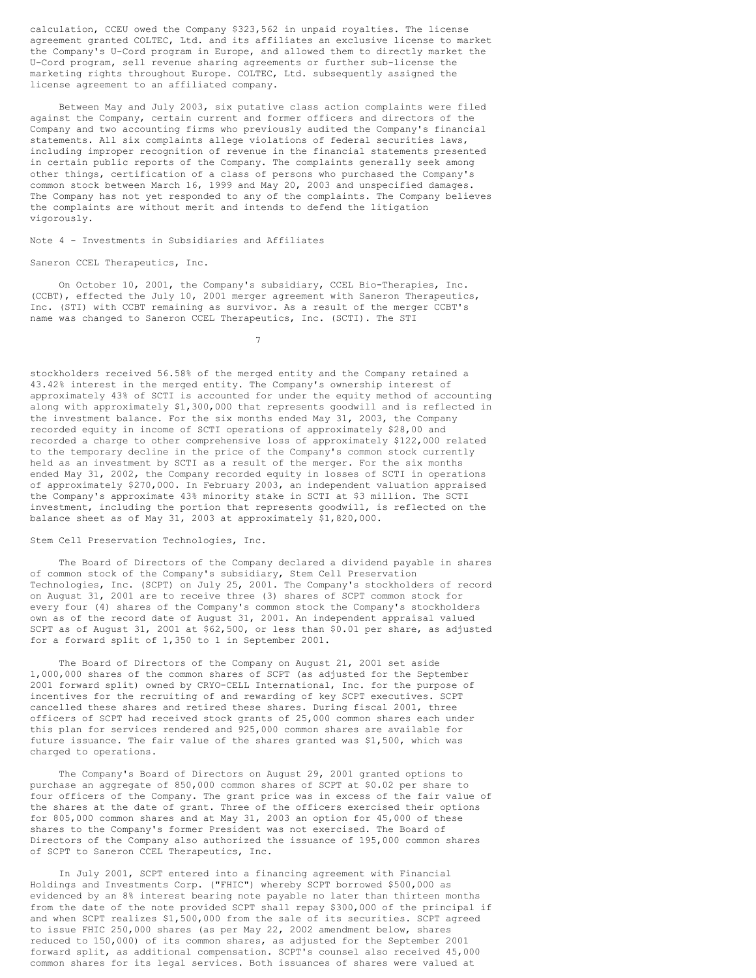calculation, CCEU owed the Company \$323,562 in unpaid royalties. The license agreement granted COLTEC, Ltd. and its affiliates an exclusive license to market the Company's U-Cord program in Europe, and allowed them to directly market the U-Cord program, sell revenue sharing agreements or further sub-license the marketing rights throughout Europe. COLTEC, Ltd. subsequently assigned the license agreement to an affiliated company.

Between May and July 2003, six putative class action complaints were filed against the Company, certain current and former officers and directors of the Company and two accounting firms who previously audited the Company's financial statements. All six complaints allege violations of federal securities laws, including improper recognition of revenue in the financial statements presented in certain public reports of the Company. The complaints generally seek among other things, certification of a class of persons who purchased the Company's common stock between March 16, 1999 and May 20, 2003 and unspecified damages. The Company has not yet responded to any of the complaints. The Company believes the complaints are without merit and intends to defend the litigation vigorously.

### Note 4 - Investments in Subsidiaries and Affiliates

### Saneron CCEL Therapeutics, Inc.

On October 10, 2001, the Company's subsidiary, CCEL Bio-Therapies, Inc. (CCBT), effected the July 10, 2001 merger agreement with Saneron Therapeutics, Inc. (STI) with CCBT remaining as survivor. As a result of the merger CCBT's name was changed to Saneron CCEL Therapeutics, Inc. (SCTI). The STI

7

stockholders received 56.58% of the merged entity and the Company retained a 43.42% interest in the merged entity. The Company's ownership interest of approximately 43% of SCTI is accounted for under the equity method of accounting along with approximately \$1,300,000 that represents goodwill and is reflected in the investment balance. For the six months ended May 31, 2003, the Company recorded equity in income of SCTI operations of approximately \$28,00 and recorded a charge to other comprehensive loss of approximately \$122,000 related to the temporary decline in the price of the Company's common stock currently held as an investment by SCTI as a result of the merger. For the six months ended May 31, 2002, the Company recorded equity in losses of SCTI in operations of approximately \$270,000. In February 2003, an independent valuation appraised the Company's approximate 43% minority stake in SCTI at \$3 million. The SCTI investment, including the portion that represents goodwill, is reflected on the balance sheet as of May 31, 2003 at approximately \$1,820,000.

### Stem Cell Preservation Technologies, Inc.

The Board of Directors of the Company declared a dividend payable in shares of common stock of the Company's subsidiary, Stem Cell Preservation Technologies, Inc. (SCPT) on July 25, 2001. The Company's stockholders of record on August 31, 2001 are to receive three (3) shares of SCPT common stock for every four (4) shares of the Company's common stock the Company's stockholders own as of the record date of August 31, 2001. An independent appraisal valued SCPT as of August 31, 2001 at \$62,500, or less than \$0.01 per share, as adjusted for a forward split of 1,350 to 1 in September 2001.

The Board of Directors of the Company on August 21, 2001 set aside 1,000,000 shares of the common shares of SCPT (as adjusted for the September 2001 forward split) owned by CRYO-CELL International, Inc. for the purpose of incentives for the recruiting of and rewarding of key SCPT executives. SCPT cancelled these shares and retired these shares. During fiscal 2001, three officers of SCPT had received stock grants of 25,000 common shares each under this plan for services rendered and 925,000 common shares are available for future issuance. The fair value of the shares granted was \$1,500, which was charged to operations.

The Company's Board of Directors on August 29, 2001 granted options to purchase an aggregate of 850,000 common shares of SCPT at \$0.02 per share to four officers of the Company. The grant price was in excess of the fair value of the shares at the date of grant. Three of the officers exercised their options for 805,000 common shares and at May 31, 2003 an option for 45,000 of these shares to the Company's former President was not exercised. The Board of Directors of the Company also authorized the issuance of 195,000 common shares of SCPT to Saneron CCEL Therapeutics, Inc.

In July 2001, SCPT entered into a financing agreement with Financial Holdings and Investments Corp. ("FHIC") whereby SCPT borrowed \$500,000 as evidenced by an 8% interest bearing note payable no later than thirteen months from the date of the note provided SCPT shall repay \$300,000 of the principal if and when SCPT realizes \$1,500,000 from the sale of its securities. SCPT agreed to issue FHIC 250,000 shares (as per May 22, 2002 amendment below, shares reduced to 150,000) of its common shares, as adjusted for the September 2001 forward split, as additional compensation. SCPT's counsel also received 45,000 common shares for its legal services. Both issuances of shares were valued at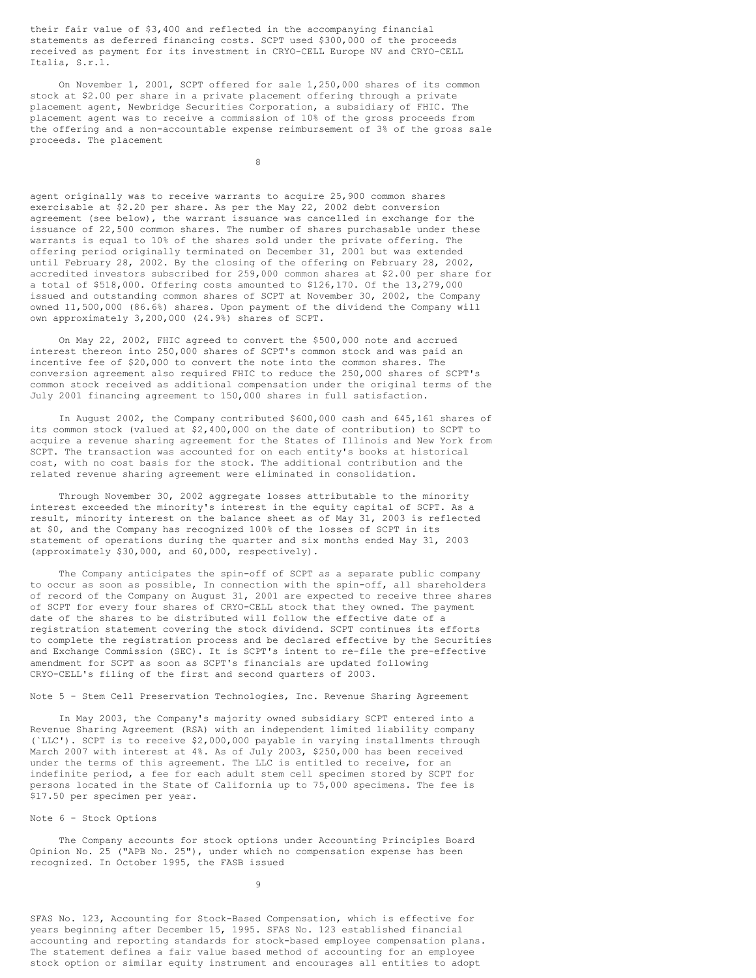their fair value of \$3,400 and reflected in the accompanying financial statements as deferred financing costs. SCPT used \$300,000 of the proceeds received as payment for its investment in CRYO-CELL Europe NV and CRYO-CELL Italia, S.r.l.

On November 1, 2001, SCPT offered for sale 1,250,000 shares of its common stock at \$2.00 per share in a private placement offering through a private placement agent, Newbridge Securities Corporation, a subsidiary of FHIC. The placement agent was to receive a commission of 10% of the gross proceeds from the offering and a non-accountable expense reimbursement of 3% of the gross sale proceeds. The placement

8

agent originally was to receive warrants to acquire 25,900 common shares exercisable at \$2.20 per share. As per the May 22, 2002 debt conversion agreement (see below), the warrant issuance was cancelled in exchange for the issuance of 22,500 common shares. The number of shares purchasable under these warrants is equal to 10% of the shares sold under the private offering. The offering period originally terminated on December 31, 2001 but was extended until February 28, 2002. By the closing of the offering on February 28, 2002, accredited investors subscribed for 259,000 common shares at \$2.00 per share for a total of \$518,000. Offering costs amounted to \$126,170. Of the 13,279,000 issued and outstanding common shares of SCPT at November 30, 2002, the Company owned 11,500,000 (86.6%) shares. Upon payment of the dividend the Company will own approximately 3,200,000 (24.9%) shares of SCPT.

On May 22, 2002, FHIC agreed to convert the \$500,000 note and accrued interest thereon into 250,000 shares of SCPT's common stock and was paid an incentive fee of \$20,000 to convert the note into the common shares. The conversion agreement also required FHIC to reduce the 250,000 shares of SCPT's common stock received as additional compensation under the original terms of the July 2001 financing agreement to 150,000 shares in full satisfaction.

In August 2002, the Company contributed \$600,000 cash and 645,161 shares of its common stock (valued at \$2,400,000 on the date of contribution) to SCPT to acquire a revenue sharing agreement for the States of Illinois and New York from SCPT. The transaction was accounted for on each entity's books at historical cost, with no cost basis for the stock. The additional contribution and the related revenue sharing agreement were eliminated in consolidation.

Through November 30, 2002 aggregate losses attributable to the minority interest exceeded the minority's interest in the equity capital of SCPT. As a result, minority interest on the balance sheet as of May 31, 2003 is reflected at \$0, and the Company has recognized 100% of the losses of SCPT in its statement of operations during the quarter and six months ended May 31, 2003 (approximately \$30,000, and 60,000, respectively).

The Company anticipates the spin-off of SCPT as a separate public company to occur as soon as possible, In connection with the spin-off, all shareholders of record of the Company on August 31, 2001 are expected to receive three shares of SCPT for every four shares of CRYO-CELL stock that they owned. The payment date of the shares to be distributed will follow the effective date of a registration statement covering the stock dividend. SCPT continues its efforts to complete the registration process and be declared effective by the Securities and Exchange Commission (SEC). It is SCPT's intent to re-file the pre-effective amendment for SCPT as soon as SCPT's financials are updated following CRYO-CELL's filing of the first and second quarters of 2003.

### Note 5 - Stem Cell Preservation Technologies, Inc. Revenue Sharing Agreement

In May 2003, the Company's majority owned subsidiary SCPT entered into a Revenue Sharing Agreement (RSA) with an independent limited liability company (`LLC'). SCPT is to receive \$2,000,000 payable in varying installments through March 2007 with interest at 4%. As of July 2003, \$250,000 has been received under the terms of this agreement. The LLC is entitled to receive, for an indefinite period, a fee for each adult stem cell specimen stored by SCPT for persons located in the State of California up to 75,000 specimens. The fee is \$17.50 per specimen per year.

## Note 6 - Stock Options

The Company accounts for stock options under Accounting Principles Board Opinion No. 25 ("APB No. 25"), under which no compensation expense has been recognized. In October 1995, the FASB issued

9

SFAS No. 123, Accounting for Stock-Based Compensation, which is effective for years beginning after December 15, 1995. SFAS No. 123 established financial accounting and reporting standards for stock-based employee compensation plans. The statement defines a fair value based method of accounting for an employee stock option or similar equity instrument and encourages all entities to adopt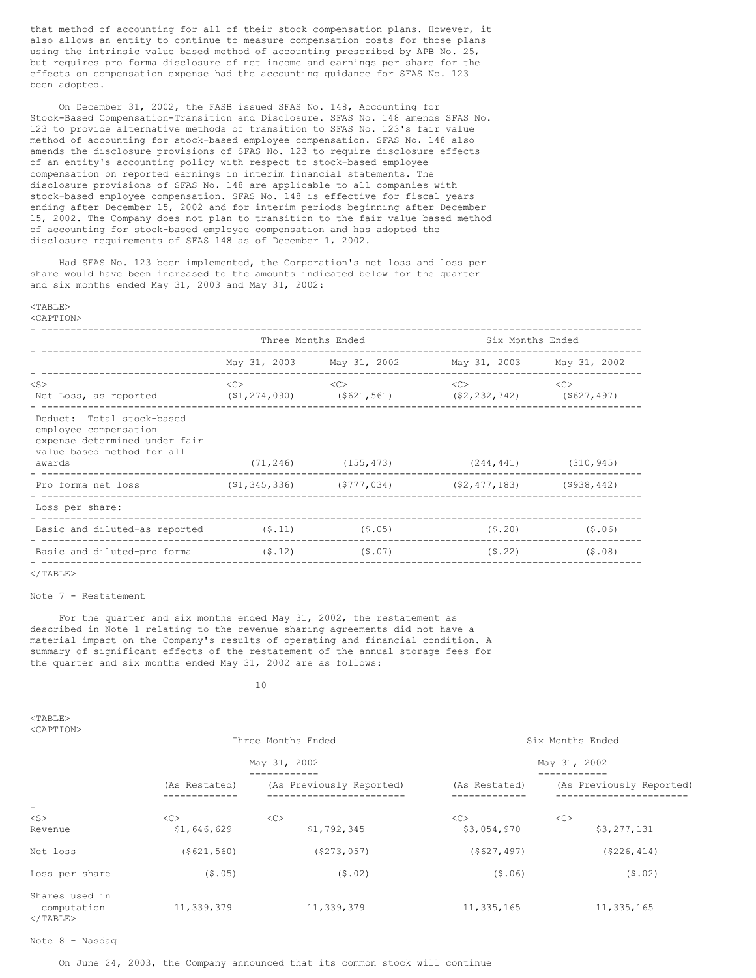that method of accounting for all of their stock compensation plans. However, it also allows an entity to continue to measure compensation costs for those plans using the intrinsic value based method of accounting prescribed by APB No. 25, but requires pro forma disclosure of net income and earnings per share for the effects on compensation expense had the accounting guidance for SFAS No. 123 been adopted.

On December 31, 2002, the FASB issued SFAS No. 148, Accounting for Stock-Based Compensation-Transition and Disclosure. SFAS No. 148 amends SFAS No. 123 to provide alternative methods of transition to SFAS No. 123's fair value method of accounting for stock-based employee compensation. SFAS No. 148 also amends the disclosure provisions of SFAS No. 123 to require disclosure effects of an entity's accounting policy with respect to stock-based employee compensation on reported earnings in interim financial statements. The disclosure provisions of SFAS No. 148 are applicable to all companies with stock-based employee compensation. SFAS No. 148 is effective for fiscal years ending after December 15, 2002 and for interim periods beginning after December 15, 2002. The Company does not plan to transition to the fair value based method of accounting for stock-based employee compensation and has adopted the disclosure requirements of SFAS 148 as of December 1, 2002.

Had SFAS No. 123 been implemented, the Corporation's net loss and loss per share would have been increased to the amounts indicated below for the quarter and six months ended May 31, 2003 and May 31, 2002:

# <TABLE>

<CAPTION>

|                                                                                                                             | Three Months Ended |                                                               |                           | Six Months Ended  |  |
|-----------------------------------------------------------------------------------------------------------------------------|--------------------|---------------------------------------------------------------|---------------------------|-------------------|--|
|                                                                                                                             |                    | May 31, 2003 May 31, 2002                                     | May 31, 2003 May 31, 2002 |                   |  |
| $<$ S $>$<br>Net Loss, as reported (\$1,274,090) (\$621,561) (\$2,232,742) (\$627,497)                                      | < <sub></sub>      | < <sub></sub>                                                 | $<\infty$                 | <<                |  |
| Deduct: Total stock-based<br>employee compensation<br>expense determined under fair<br>value based method for all<br>awards |                    | $(71, 246)$ $(155, 473)$ $(244, 441)$ $(310, 945)$            |                           |                   |  |
| ---------------------------------<br>Pro forma net loss                                                                     |                    | $(51, 345, 336)$ $(5777, 034)$ $(52, 477, 183)$ $(5938, 442)$ |                           |                   |  |
| Loss per share:                                                                                                             |                    |                                                               |                           |                   |  |
| Basic and diluted-as reported $(5.11)$ (\$.05)                                                                              |                    |                                                               |                           | $(5, 20)$ (\$.06) |  |
| Basic and diluted-pro forma (\$.12)                                                                                         |                    | (5.07)                                                        |                           | $(5.22)$ (\$.08)  |  |

### $<$ /TABLE>

# Note 7 - Restatement

For the quarter and six months ended May 31, 2002, the restatement as described in Note 1 relating to the revenue sharing agreements did not have a material impact on the Company's results of operating and financial condition. A summary of significant effects of the restatement of the annual storage fees for the quarter and six months ended May 31, 2002 are as follows:

### 10

 $<$ TABLE> <CAPTION>

|                                                    | Three Months Ended<br>May 31, 2002 |                          | Six Months Ended<br>May 31, 2002 |                          |  |
|----------------------------------------------------|------------------------------------|--------------------------|----------------------------------|--------------------------|--|
|                                                    |                                    |                          |                                  |                          |  |
|                                                    | (As Restated)                      | (As Previously Reported) | (As Restated)                    | (As Previously Reported) |  |
| -<br>$<$ S $>$                                     | <<                                 | <<                       | <<                               | <<                       |  |
| Revenue                                            | \$1,646,629                        | \$1,792,345              | \$3,054,970                      | \$3,277,131              |  |
| Net loss                                           | ( \$621, 560)                      | ( \$273, 057)            | ( \$627, 497)                    | ( \$226, 414)            |  |
| Loss per share                                     | (5.05)                             | (5.02)                   | (5.06)                           | (5.02)                   |  |
| Shares used in<br>computation<br>$\langle$ /TABLE> | 11,339,379                         | 11,339,379               | 11,335,165                       | 11,335,165               |  |

Note 8 - Nasdaq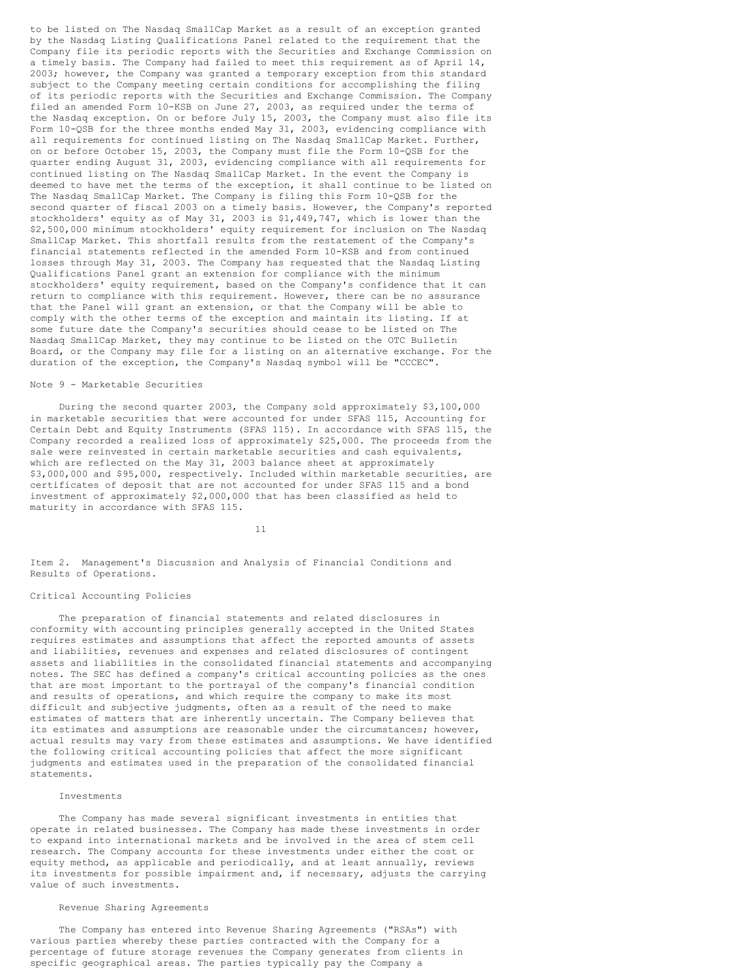to be listed on The Nasdaq SmallCap Market as a result of an exception granted by the Nasdaq Listing Qualifications Panel related to the requirement that the Company file its periodic reports with the Securities and Exchange Commission on a timely basis. The Company had failed to meet this requirement as of April 14, 2003; however, the Company was granted a temporary exception from this standard subject to the Company meeting certain conditions for accomplishing the filing of its periodic reports with the Securities and Exchange Commission. The Company filed an amended Form 10-KSB on June 27, 2003, as required under the terms of the Nasdaq exception. On or before July 15, 2003, the Company must also file its Form 10-QSB for the three months ended May 31, 2003, evidencing compliance with all requirements for continued listing on The Nasdaq SmallCap Market. Further, on or before October 15, 2003, the Company must file the Form 10-QSB for the quarter ending August 31, 2003, evidencing compliance with all requirements for continued listing on The Nasdaq SmallCap Market. In the event the Company is deemed to have met the terms of the exception, it shall continue to be listed on The Nasdaq SmallCap Market. The Company is filing this Form 10-QSB for the second quarter of fiscal 2003 on a timely basis. However, the Company's reported stockholders' equity as of May 31, 2003 is \$1,449,747, which is lower than the \$2,500,000 minimum stockholders' equity requirement for inclusion on The Nasdaq SmallCap Market. This shortfall results from the restatement of the Company's financial statements reflected in the amended Form 10-KSB and from continued losses through May 31, 2003. The Company has requested that the Nasdaq Listing Qualifications Panel grant an extension for compliance with the minimum stockholders' equity requirement, based on the Company's confidence that it can return to compliance with this requirement. However, there can be no assurance that the Panel will grant an extension, or that the Company will be able to comply with the other terms of the exception and maintain its listing. If at some future date the Company's securities should cease to be listed on The Nasdaq SmallCap Market, they may continue to be listed on the OTC Bulletin Board, or the Company may file for a listing on an alternative exchange. For the duration of the exception, the Company's Nasdaq symbol will be "CCCEC".

# Note 9 - Marketable Securities

During the second quarter 2003, the Company sold approximately \$3,100,000 in marketable securities that were accounted for under SFAS 115, Accounting for Certain Debt and Equity Instruments (SFAS 115). In accordance with SFAS 115, the Company recorded a realized loss of approximately \$25,000. The proceeds from the sale were reinvested in certain marketable securities and cash equivalents, which are reflected on the May 31, 2003 balance sheet at approximately \$3,000,000 and \$95,000, respectively. Included within marketable securities, are certificates of deposit that are not accounted for under SFAS 115 and a bond investment of approximately \$2,000,000 that has been classified as held to maturity in accordance with SFAS 115.

11

Item 2. Management's Discussion and Analysis of Financial Conditions and Results of Operations.

# Critical Accounting Policies

The preparation of financial statements and related disclosures in conformity with accounting principles generally accepted in the United States requires estimates and assumptions that affect the reported amounts of assets and liabilities, revenues and expenses and related disclosures of contingent assets and liabilities in the consolidated financial statements and accompanying notes. The SEC has defined a company's critical accounting policies as the ones that are most important to the portrayal of the company's financial condition and results of operations, and which require the company to make its most difficult and subjective judgments, often as a result of the need to make estimates of matters that are inherently uncertain. The Company believes that its estimates and assumptions are reasonable under the circumstances; however, actual results may vary from these estimates and assumptions. We have identified the following critical accounting policies that affect the more significant judgments and estimates used in the preparation of the consolidated financial statements.

### Investments

The Company has made several significant investments in entities that operate in related businesses. The Company has made these investments in order to expand into international markets and be involved in the area of stem cell research. The Company accounts for these investments under either the cost or equity method, as applicable and periodically, and at least annually, reviews its investments for possible impairment and, if necessary, adjusts the carrying value of such investments.

### Revenue Sharing Agreements

The Company has entered into Revenue Sharing Agreements ("RSAs") with various parties whereby these parties contracted with the Company for a percentage of future storage revenues the Company generates from clients in specific geographical areas. The parties typically pay the Company a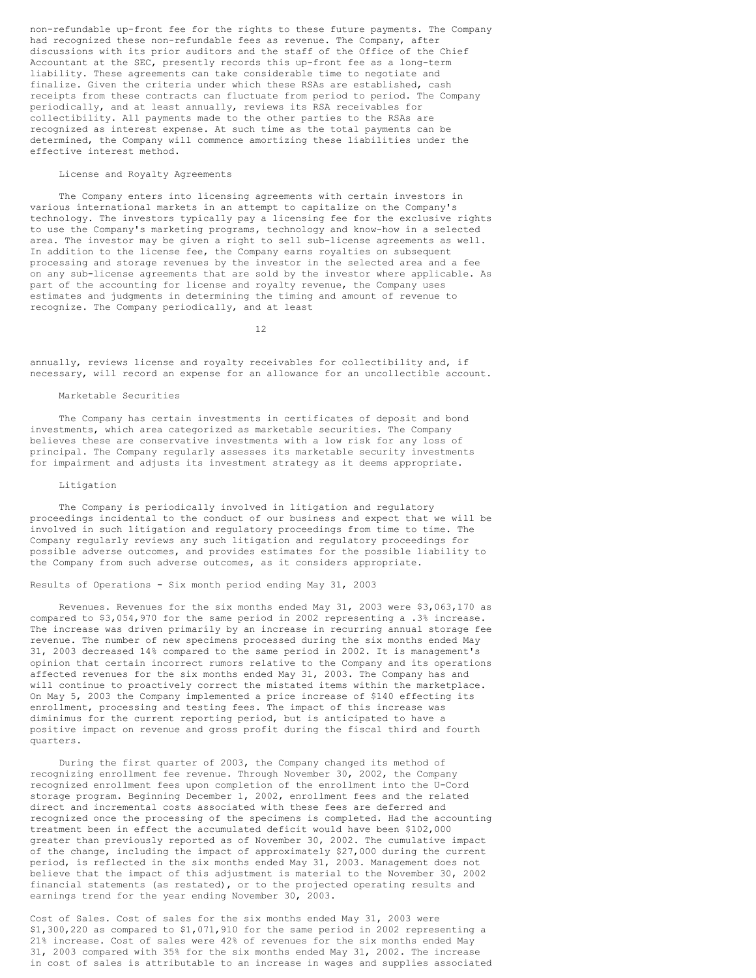non-refundable up-front fee for the rights to these future payments. The Company had recognized these non-refundable fees as revenue. The Company, after discussions with its prior auditors and the staff of the Office of the Chief Accountant at the SEC, presently records this up-front fee as a long-term liability. These agreements can take considerable time to negotiate and finalize. Given the criteria under which these RSAs are established, cash receipts from these contracts can fluctuate from period to period. The Company periodically, and at least annually, reviews its RSA receivables for collectibility. All payments made to the other parties to the RSAs are recognized as interest expense. At such time as the total payments can be determined, the Company will commence amortizing these liabilities under the effective interest method.

# License and Royalty Agreements

The Company enters into licensing agreements with certain investors in various international markets in an attempt to capitalize on the Company's technology. The investors typically pay a licensing fee for the exclusive rights to use the Company's marketing programs, technology and know-how in a selected area. The investor may be given a right to sell sub-license agreements as well. In addition to the license fee, the Company earns royalties on subsequent processing and storage revenues by the investor in the selected area and a fee on any sub-license agreements that are sold by the investor where applicable. As part of the accounting for license and royalty revenue, the Company uses estimates and judgments in determining the timing and amount of revenue to recognize. The Company periodically, and at least

12

annually, reviews license and royalty receivables for collectibility and, if necessary, will record an expense for an allowance for an uncollectible account.

### Marketable Securities

The Company has certain investments in certificates of deposit and bond investments, which area categorized as marketable securities. The Company believes these are conservative investments with a low risk for any loss of principal. The Company regularly assesses its marketable security investments for impairment and adjusts its investment strategy as it deems appropriate.

#### Litigation

The Company is periodically involved in litigation and regulatory proceedings incidental to the conduct of our business and expect that we will be involved in such litigation and regulatory proceedings from time to time. The Company regularly reviews any such litigation and regulatory proceedings for possible adverse outcomes, and provides estimates for the possible liability to the Company from such adverse outcomes, as it considers appropriate.

### Results of Operations - Six month period ending May 31, 2003

Revenues. Revenues for the six months ended May 31, 2003 were \$3,063,170 as compared to \$3,054,970 for the same period in 2002 representing a .3% increase. The increase was driven primarily by an increase in recurring annual storage fee revenue. The number of new specimens processed during the six months ended May 31, 2003 decreased 14% compared to the same period in 2002. It is management's opinion that certain incorrect rumors relative to the Company and its operations affected revenues for the six months ended May 31, 2003. The Company has and will continue to proactively correct the mistated items within the marketplace. On May 5, 2003 the Company implemented a price increase of \$140 effecting its enrollment, processing and testing fees. The impact of this increase was diminimus for the current reporting period, but is anticipated to have a positive impact on revenue and gross profit during the fiscal third and fourth quarters.

During the first quarter of 2003, the Company changed its method of recognizing enrollment fee revenue. Through November 30, 2002, the Company recognized enrollment fees upon completion of the enrollment into the U-Cord storage program. Beginning December 1, 2002, enrollment fees and the related direct and incremental costs associated with these fees are deferred and recognized once the processing of the specimens is completed. Had the accounting treatment been in effect the accumulated deficit would have been \$102,000 greater than previously reported as of November 30, 2002. The cumulative impact of the change, including the impact of approximately \$27,000 during the current period, is reflected in the six months ended May 31, 2003. Management does not believe that the impact of this adjustment is material to the November 30, 2002 financial statements (as restated), or to the projected operating results and earnings trend for the year ending November 30, 2003.

Cost of Sales. Cost of sales for the six months ended May 31, 2003 were \$1,300,220 as compared to \$1,071,910 for the same period in 2002 representing a 21% increase. Cost of sales were 42% of revenues for the six months ended May 31, 2003 compared with 35% for the six months ended May 31, 2002. The increase in cost of sales is attributable to an increase in wages and supplies associated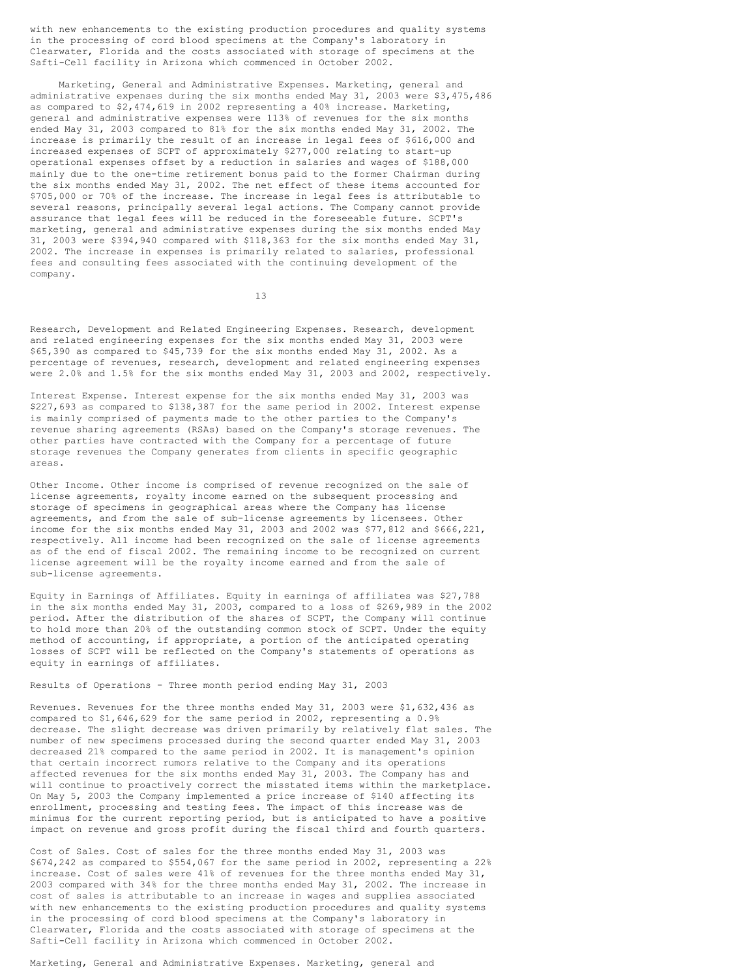with new enhancements to the existing production procedures and quality systems in the processing of cord blood specimens at the Company's laboratory in Clearwater, Florida and the costs associated with storage of specimens at the Safti-Cell facility in Arizona which commenced in October 2002.

Marketing, General and Administrative Expenses. Marketing, general and administrative expenses during the six months ended May 31, 2003 were \$3,475,486 as compared to \$2,474,619 in 2002 representing a 40% increase. Marketing, general and administrative expenses were 113% of revenues for the six months ended May 31, 2003 compared to 81% for the six months ended May 31, 2002. The increase is primarily the result of an increase in legal fees of \$616,000 and increased expenses of SCPT of approximately \$277,000 relating to start-up operational expenses offset by a reduction in salaries and wages of \$188,000 mainly due to the one-time retirement bonus paid to the former Chairman during the six months ended May 31, 2002. The net effect of these items accounted for \$705,000 or 70% of the increase. The increase in legal fees is attributable to several reasons, principally several legal actions. The Company cannot provide assurance that legal fees will be reduced in the foreseeable future. SCPT's marketing, general and administrative expenses during the six months ended May 31, 2003 were \$394,940 compared with \$118,363 for the six months ended May 31, 2002. The increase in expenses is primarily related to salaries, professional fees and consulting fees associated with the continuing development of the company.

13

Research, Development and Related Engineering Expenses. Research, development and related engineering expenses for the six months ended May 31, 2003 were \$65,390 as compared to \$45,739 for the six months ended May 31, 2002. As a percentage of revenues, research, development and related engineering expenses were 2.0% and 1.5% for the six months ended May 31, 2003 and 2002, respectively.

Interest Expense. Interest expense for the six months ended May 31, 2003 was \$227,693 as compared to \$138,387 for the same period in 2002. Interest expense is mainly comprised of payments made to the other parties to the Company's revenue sharing agreements (RSAs) based on the Company's storage revenues. The other parties have contracted with the Company for a percentage of future storage revenues the Company generates from clients in specific geographic areas.

Other Income. Other income is comprised of revenue recognized on the sale of license agreements, royalty income earned on the subsequent processing and storage of specimens in geographical areas where the Company has license agreements, and from the sale of sub-license agreements by licensees. Other income for the six months ended May 31, 2003 and 2002 was \$77,812 and \$666,221, respectively. All income had been recognized on the sale of license agreements as of the end of fiscal 2002. The remaining income to be recognized on current license agreement will be the royalty income earned and from the sale of sub-license agreements.

Equity in Earnings of Affiliates. Equity in earnings of affiliates was \$27,788 in the six months ended May 31, 2003, compared to a loss of \$269,989 in the 2002 period. After the distribution of the shares of SCPT, the Company will continue to hold more than 20% of the outstanding common stock of SCPT. Under the equity method of accounting, if appropriate, a portion of the anticipated operating losses of SCPT will be reflected on the Company's statements of operations as equity in earnings of affiliates.

Results of Operations - Three month period ending May 31, 2003

Revenues. Revenues for the three months ended May 31, 2003 were \$1,632,436 as compared to \$1,646,629 for the same period in 2002, representing a 0.9% decrease. The slight decrease was driven primarily by relatively flat sales. The number of new specimens processed during the second quarter ended May 31, 2003 decreased 21% compared to the same period in 2002. It is management's opinion that certain incorrect rumors relative to the Company and its operations affected revenues for the six months ended May 31, 2003. The Company has and will continue to proactively correct the misstated items within the marketplace. On May 5, 2003 the Company implemented a price increase of \$140 affecting its enrollment, processing and testing fees. The impact of this increase was de minimus for the current reporting period, but is anticipated to have a positive impact on revenue and gross profit during the fiscal third and fourth quarters.

Cost of Sales. Cost of sales for the three months ended May 31, 2003 was \$674,242 as compared to \$554,067 for the same period in 2002, representing a 22% increase. Cost of sales were 41% of revenues for the three months ended May 31, 2003 compared with 34% for the three months ended May 31, 2002. The increase in cost of sales is attributable to an increase in wages and supplies associated with new enhancements to the existing production procedures and quality systems in the processing of cord blood specimens at the Company's laboratory in Clearwater, Florida and the costs associated with storage of specimens at the Safti-Cell facility in Arizona which commenced in October 2002.

Marketing, General and Administrative Expenses. Marketing, general and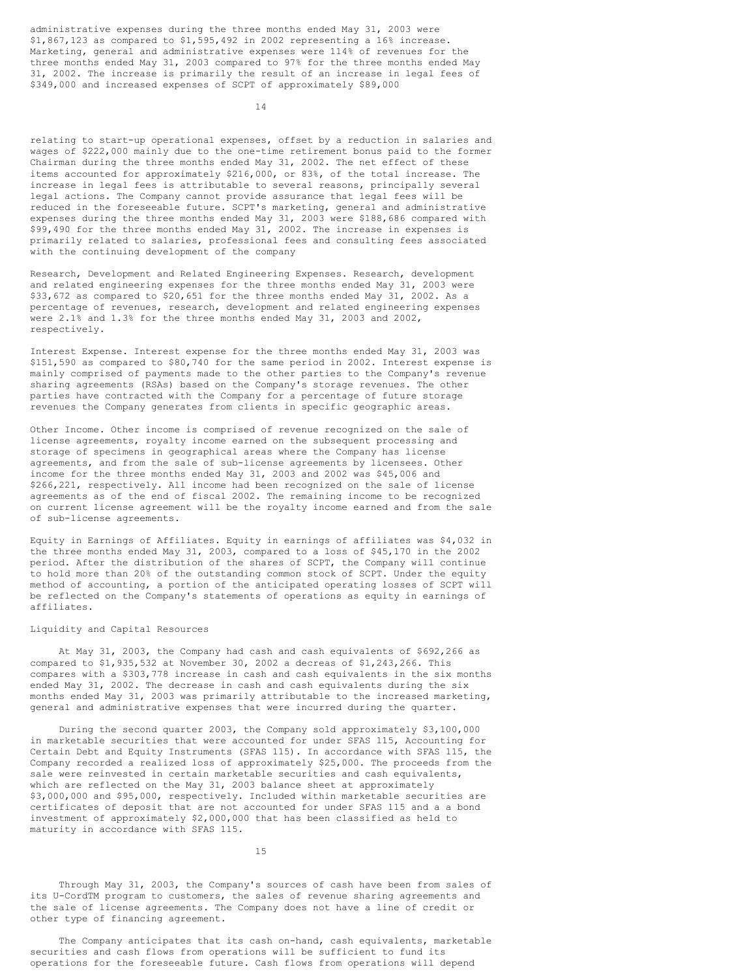administrative expenses during the three months ended May 31, 2003 were \$1,867,123 as compared to \$1,595,492 in 2002 representing a 16% increase. Marketing, general and administrative expenses were 114% of revenues for the three months ended May 31, 2003 compared to 97% for the three months ended May 31, 2002. The increase is primarily the result of an increase in legal fees of \$349,000 and increased expenses of SCPT of approximately \$89,000

14

relating to start-up operational expenses, offset by a reduction in salaries and wages of \$222,000 mainly due to the one-time retirement bonus paid to the former Chairman during the three months ended May 31, 2002. The net effect of these items accounted for approximately \$216,000, or 83%, of the total increase. The increase in legal fees is attributable to several reasons, principally several legal actions. The Company cannot provide assurance that legal fees will be reduced in the foreseeable future. SCPT's marketing, general and administrative expenses during the three months ended May 31, 2003 were \$188,686 compared with \$99,490 for the three months ended May 31, 2002. The increase in expenses is primarily related to salaries, professional fees and consulting fees associated with the continuing development of the company

Research, Development and Related Engineering Expenses. Research, development and related engineering expenses for the three months ended May 31, 2003 were \$33,672 as compared to \$20,651 for the three months ended May 31, 2002. As a percentage of revenues, research, development and related engineering expenses were 2.1% and 1.3% for the three months ended May 31, 2003 and 2002, respectively.

Interest Expense. Interest expense for the three months ended May 31, 2003 was \$151,590 as compared to \$80,740 for the same period in 2002. Interest expense is mainly comprised of payments made to the other parties to the Company's revenue sharing agreements (RSAs) based on the Company's storage revenues. The other parties have contracted with the Company for a percentage of future storage revenues the Company generates from clients in specific geographic areas.

Other Income. Other income is comprised of revenue recognized on the sale of license agreements, royalty income earned on the subsequent processing and storage of specimens in geographical areas where the Company has license agreements, and from the sale of sub-license agreements by licensees. Other income for the three months ended May 31, 2003 and 2002 was \$45,006 and \$266,221, respectively. All income had been recognized on the sale of license agreements as of the end of fiscal 2002. The remaining income to be recognized on current license agreement will be the royalty income earned and from the sale of sub-license agreements.

Equity in Earnings of Affiliates. Equity in earnings of affiliates was \$4,032 in the three months ended May 31, 2003, compared to a loss of \$45,170 in the 2002 period. After the distribution of the shares of SCPT, the Company will continue to hold more than 20% of the outstanding common stock of SCPT. Under the equity method of accounting, a portion of the anticipated operating losses of SCPT will be reflected on the Company's statements of operations as equity in earnings of affiliates.

# Liquidity and Capital Resources

At May 31, 2003, the Company had cash and cash equivalents of \$692,266 as compared to \$1,935,532 at November 30, 2002 a decreas of \$1,243,266. This compares with a \$303,778 increase in cash and cash equivalents in the six months ended May 31, 2002. The decrease in cash and cash equivalents during the six months ended May 31, 2003 was primarily attributable to the increased marketing, general and administrative expenses that were incurred during the quarter.

During the second quarter 2003, the Company sold approximately \$3,100,000 in marketable securities that were accounted for under SFAS 115, Accounting for Certain Debt and Equity Instruments (SFAS 115). In accordance with SFAS 115, the Company recorded a realized loss of approximately \$25,000. The proceeds from the sale were reinvested in certain marketable securities and cash equivalents, which are reflected on the May 31, 2003 balance sheet at approximately \$3,000,000 and \$95,000, respectively. Included within marketable securities are certificates of deposit that are not accounted for under SFAS 115 and a a bond investment of approximately \$2,000,000 that has been classified as held to maturity in accordance with SFAS 115.

15

Through May 31, 2003, the Company's sources of cash have been from sales of its U-CordTM program to customers, the sales of revenue sharing agreements and the sale of license agreements. The Company does not have a line of credit or other type of financing agreement.

The Company anticipates that its cash on-hand, cash equivalents, marketable securities and cash flows from operations will be sufficient to fund its operations for the foreseeable future. Cash flows from operations will depend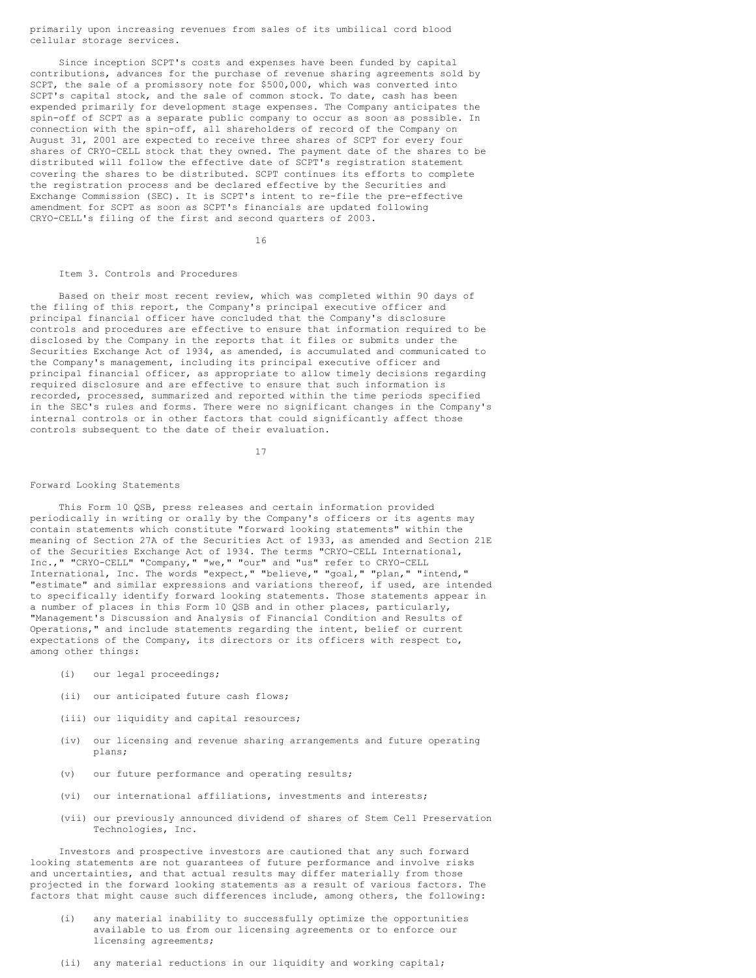primarily upon increasing revenues from sales of its umbilical cord blood cellular storage services.

Since inception SCPT's costs and expenses have been funded by capital contributions, advances for the purchase of revenue sharing agreements sold by SCPT, the sale of a promissory note for \$500,000, which was converted into SCPT's capital stock, and the sale of common stock. To date, cash has been expended primarily for development stage expenses. The Company anticipates the spin-off of SCPT as a separate public company to occur as soon as possible. In connection with the spin-off, all shareholders of record of the Company on August 31, 2001 are expected to receive three shares of SCPT for every four shares of CRYO-CELL stock that they owned. The payment date of the shares to be distributed will follow the effective date of SCPT's registration statement covering the shares to be distributed. SCPT continues its efforts to complete the registration process and be declared effective by the Securities and Exchange Commission (SEC). It is SCPT's intent to re-file the pre-effective amendment for SCPT as soon as SCPT's financials are updated following CRYO-CELL's filing of the first and second quarters of 2003.

16

#### Item 3. Controls and Procedures

Based on their most recent review, which was completed within 90 days of the filing of this report, the Company's principal executive officer and principal financial officer have concluded that the Company's disclosure controls and procedures are effective to ensure that information required to be disclosed by the Company in the reports that it files or submits under the Securities Exchange Act of 1934, as amended, is accumulated and communicated to the Company's management, including its principal executive officer and principal financial officer, as appropriate to allow timely decisions regarding required disclosure and are effective to ensure that such information is recorded, processed, summarized and reported within the time periods specified in the SEC's rules and forms. There were no significant changes in the Company's internal controls or in other factors that could significantly affect those controls subsequent to the date of their evaluation.

17

#### Forward Looking Statements

This Form 10 QSB, press releases and certain information provided periodically in writing or orally by the Company's officers or its agents may contain statements which constitute "forward looking statements" within the meaning of Section 27A of the Securities Act of 1933, as amended and Section 21E of the Securities Exchange Act of 1934. The terms "CRYO-CELL International, Inc.," "CRYO-CELL" "Company," "we," "our" and "us" refer to CRYO-CELL International, Inc. The words "expect," "believe," "goal," "plan," "intend," "estimate" and similar expressions and variations thereof, if used, are intended to specifically identify forward looking statements. Those statements appear in a number of places in this Form 10 QSB and in other places, particularly, "Management's Discussion and Analysis of Financial Condition and Results of Operations," and include statements regarding the intent, belief or current expectations of the Company, its directors or its officers with respect to, among other things:

- (i) our legal proceedings;
- (ii) our anticipated future cash flows;
- (iii) our liquidity and capital resources;
- (iv) our licensing and revenue sharing arrangements and future operating plans;
- (v) our future performance and operating results;
- (vi) our international affiliations, investments and interests;
- (vii) our previously announced dividend of shares of Stem Cell Preservation Technologies, Inc.

Investors and prospective investors are cautioned that any such forward looking statements are not guarantees of future performance and involve risks and uncertainties, and that actual results may differ materially from those projected in the forward looking statements as a result of various factors. The factors that might cause such differences include, among others, the following:

- (i) any material inability to successfully optimize the opportunities available to us from our licensing agreements or to enforce our licensing agreements;
- (ii) any material reductions in our liquidity and working capital;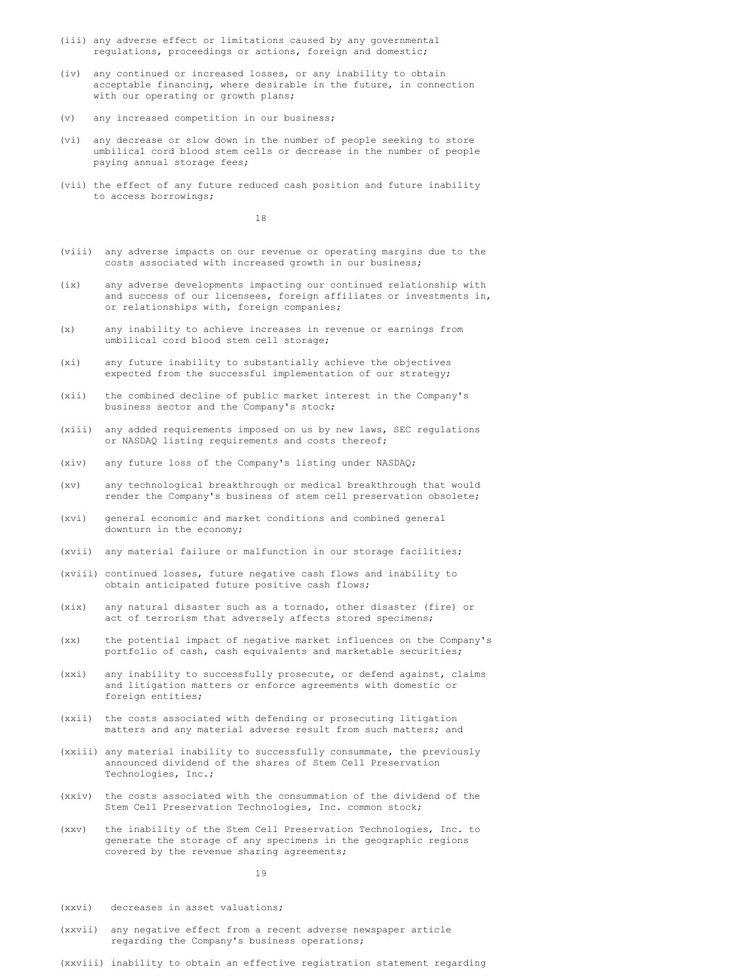- (iii) any adverse effect or limitations caused by any governmental regulations, proceedings or actions, foreign and domestic;
- (iv) any continued or increased losses, or any inability to obtain acceptable financing, where desirable in the future, in connection with our operating or growth plans;
- (v) any increased competition in our business;
- (vi) any decrease or slow down in the number of people seeking to store umbilical cord blood stem cells or decrease in the number of people paying annual storage fees;
- (vii) the effect of any future reduced cash position and future inability to access borrowings;

18

- (viii) any adverse impacts on our revenue or operating margins due to the costs associated with increased growth in our business;
- (ix) any adverse developments impacting our continued relationship with and success of our licensees, foreign affiliates or investments in, or relationships with, foreign companies;
- (x) any inability to achieve increases in revenue or earnings from umbilical cord blood stem cell storage;
- (xi) any future inability to substantially achieve the objectives expected from the successful implementation of our strategy;
- (xii) the combined decline of public market interest in the Company's business sector and the Company's stock;
- (xiii) any added requirements imposed on us by new laws, SEC regulations or NASDAQ listing requirements and costs thereof;
- (xiv) any future loss of the Company's listing under NASDAQ;
- (xv) any technological breakthrough or medical breakthrough that would render the Company's business of stem cell preservation obsolete;
- (xvi) general economic and market conditions and combined general downturn in the economy;
- (xvii) any material failure or malfunction in our storage facilities;
- (xviii) continued losses, future negative cash flows and inability to obtain anticipated future positive cash flows;
- (xix) any natural disaster such as a tornado, other disaster (fire) or act of terrorism that adversely affects stored specimens;
- (xx) the potential impact of negative market influences on the Company's portfolio of cash, cash equivalents and marketable securities;
- (xxi) any inability to successfully prosecute, or defend against, claims and litigation matters or enforce agreements with domestic or foreign entities;
- (xxii) the costs associated with defending or prosecuting litigation matters and any material adverse result from such matters; and
- (xxiii) any material inability to successfully consummate, the previously announced dividend of the shares of Stem Cell Preservation Technologies, Inc.;
- (xxiv) the costs associated with the consummation of the dividend of the Stem Cell Preservation Technologies, Inc. common stock;
- (xxv) the inability of the Stem Cell Preservation Technologies, Inc. to generate the storage of any specimens in the geographic regions covered by the revenue sharing agreements;

19

- (xxvi) decreases in asset valuations;
- (xxvii) any negative effect from a recent adverse newspaper article regarding the Company's business operations;

(xxviii) inability to obtain an effective registration statement regarding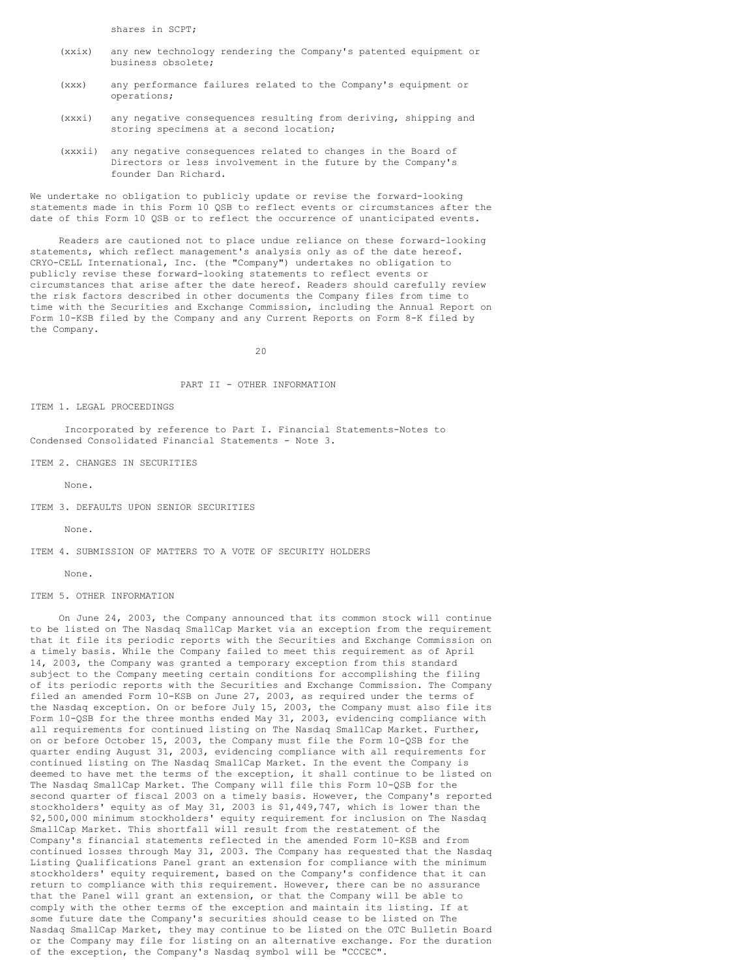shares in SCPT;

- (xxix) any new technology rendering the Company's patented equipment or business obsolete;
- (xxx) any performance failures related to the Company's equipment or operations;
- (xxxi) any negative consequences resulting from deriving, shipping and storing specimens at a second location;
- (xxxii) any negative consequences related to changes in the Board of Directors or less involvement in the future by the Company's founder Dan Richard.

We undertake no obligation to publicly update or revise the forward-looking statements made in this Form 10 QSB to reflect events or circumstances after the date of this Form 10 QSB or to reflect the occurrence of unanticipated events.

Readers are cautioned not to place undue reliance on these forward-looking statements, which reflect management's analysis only as of the date hereof. CRYO-CELL International, Inc. (the "Company") undertakes no obligation to publicly revise these forward-looking statements to reflect events or circumstances that arise after the date hereof. Readers should carefully review the risk factors described in other documents the Company files from time to time with the Securities and Exchange Commission, including the Annual Report on Form 10-KSB filed by the Company and any Current Reports on Form 8-K filed by the Company.

 $20$ 

# PART II - OTHER INFORMATION

### ITEM 1. LEGAL PROCEEDINGS

Incorporated by reference to Part I. Financial Statements-Notes to Condensed Consolidated Financial Statements - Note 3.

ITEM 2. CHANGES IN SECURITIES

None.

ITEM 3. DEFAULTS UPON SENIOR SECURITIES

None.

ITEM 4. SUBMISSION OF MATTERS TO A VOTE OF SECURITY HOLDERS

None.

### ITEM 5. OTHER INFORMATION

On June 24, 2003, the Company announced that its common stock will continue to be listed on The Nasdaq SmallCap Market via an exception from the requirement that it file its periodic reports with the Securities and Exchange Commission on a timely basis. While the Company failed to meet this requirement as of April 14, 2003, the Company was granted a temporary exception from this standard subject to the Company meeting certain conditions for accomplishing the filing of its periodic reports with the Securities and Exchange Commission. The Company filed an amended Form 10-KSB on June 27, 2003, as required under the terms of the Nasdaq exception. On or before July 15, 2003, the Company must also file its Form 10-QSB for the three months ended May 31, 2003, evidencing compliance with all requirements for continued listing on The Nasdaq SmallCap Market. Further, on or before October 15, 2003, the Company must file the Form 10-QSB for the quarter ending August 31, 2003, evidencing compliance with all requirements for continued listing on The Nasdaq SmallCap Market. In the event the Company is deemed to have met the terms of the exception, it shall continue to be listed on The Nasdaq SmallCap Market. The Company will file this Form 10-QSB for the second quarter of fiscal 2003 on a timely basis. However, the Company's reported stockholders' equity as of May 31, 2003 is \$1,449,747, which is lower than the \$2,500,000 minimum stockholders' equity requirement for inclusion on The Nasdaq SmallCap Market. This shortfall will result from the restatement of the Company's financial statements reflected in the amended Form 10-KSB and from continued losses through May 31, 2003. The Company has requested that the Nasdaq Listing Qualifications Panel grant an extension for compliance with the minimum stockholders' equity requirement, based on the Company's confidence that it can return to compliance with this requirement. However, there can be no assurance that the Panel will grant an extension, or that the Company will be able to comply with the other terms of the exception and maintain its listing. If at some future date the Company's securities should cease to be listed on The Nasdaq SmallCap Market, they may continue to be listed on the OTC Bulletin Board or the Company may file for listing on an alternative exchange. For the duration of the exception, the Company's Nasdaq symbol will be "CCCEC".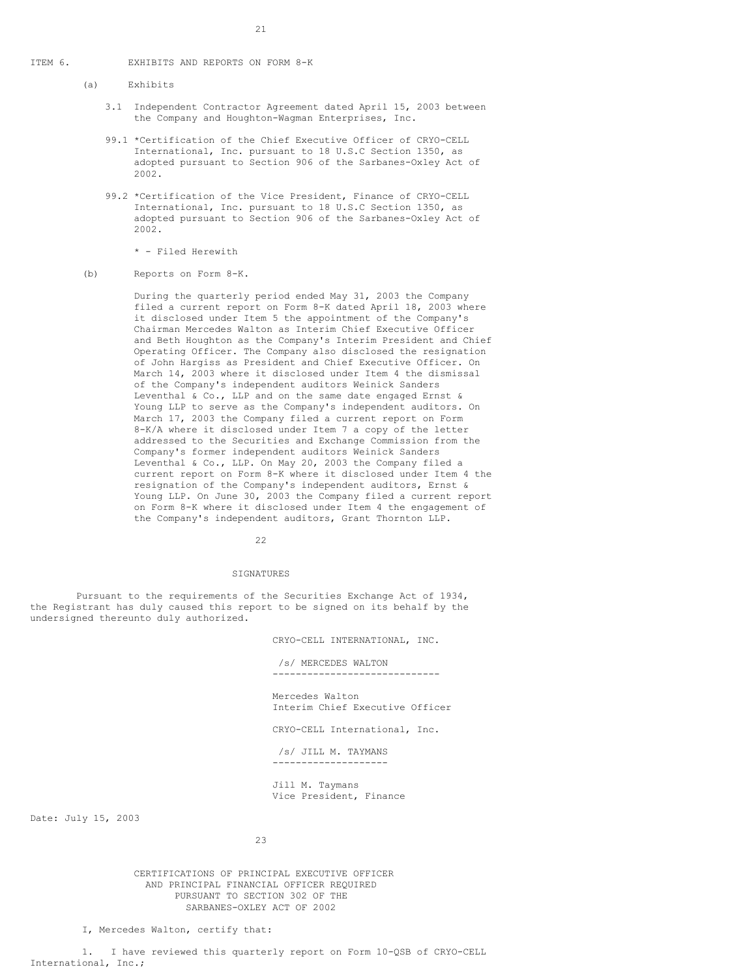### ITEM 6. EXHIBITS AND REPORTS ON FORM 8-K

(a) Exhibits

- 3.1 Independent Contractor Agreement dated April 15, 2003 between the Company and Houghton-Wagman Enterprises, Inc.
- 99.1 \*Certification of the Chief Executive Officer of CRYO-CELL International, Inc. pursuant to 18 U.S.C Section 1350, as adopted pursuant to Section 906 of the Sarbanes-Oxley Act of 2002.
- 99.2 \*Certification of the Vice President, Finance of CRYO-CELL International, Inc. pursuant to 18 U.S.C Section 1350, as adopted pursuant to Section 906 of the Sarbanes-Oxley Act of 2002.

\* - Filed Herewith

(b) Reports on Form 8-K.

During the quarterly period ended May 31, 2003 the Company filed a current report on Form 8-K dated April 18, 2003 where it disclosed under Item 5 the appointment of the Company's Chairman Mercedes Walton as Interim Chief Executive Officer and Beth Houghton as the Company's Interim President and Chief Operating Officer. The Company also disclosed the resignation of John Hargiss as President and Chief Executive Officer. On March 14, 2003 where it disclosed under Item 4 the dismissal of the Company's independent auditors Weinick Sanders Leventhal & Co., LLP and on the same date engaged Ernst & Young LLP to serve as the Company's independent auditors. On March 17, 2003 the Company filed a current report on Form 8-K/A where it disclosed under Item 7 a copy of the letter addressed to the Securities and Exchange Commission from the Company's former independent auditors Weinick Sanders Leventhal & Co., LLP. On May 20, 2003 the Company filed a current report on Form 8-K where it disclosed under Item 4 the resignation of the Company's independent auditors, Ernst & Young LLP. On June 30, 2003 the Company filed a current report on Form 8-K where it disclosed under Item 4 the engagement of the Company's independent auditors, Grant Thornton LLP.

22

#### SIGNATURES

Pursuant to the requirements of the Securities Exchange Act of 1934, the Registrant has duly caused this report to be signed on its behalf by the undersigned thereunto duly authorized.

CRYO-CELL INTERNATIONAL, INC.

/s/ MERCEDES WALTON ----------------------------- Mercedes Walton Interim Chief Executive Officer CRYO-CELL International, Inc. /s/ JILL M. TAYMANS

Jill M. Taymans Vice President, Finance

--------------------

Date: July 15, 2003

23

CERTIFICATIONS OF PRINCIPAL EXECUTIVE OFFICER AND PRINCIPAL FINANCIAL OFFICER REQUIRED PURSUANT TO SECTION 302 OF THE SARBANES-OXLEY ACT OF 2002

I, Mercedes Walton, certify that:

1. I have reviewed this quarterly report on Form 10-QSB of CRYO-CELL International, Inc.;

21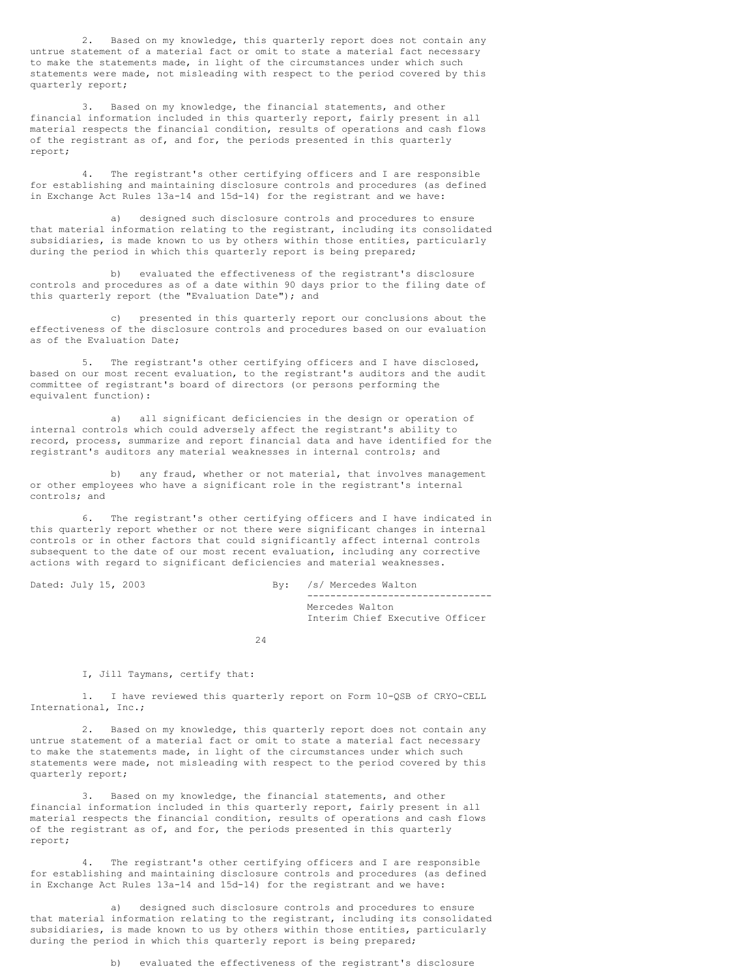2. Based on my knowledge, this quarterly report does not contain any untrue statement of a material fact or omit to state a material fact necessary to make the statements made, in light of the circumstances under which such statements were made, not misleading with respect to the period covered by this quarterly report;

3. Based on my knowledge, the financial statements, and other financial information included in this quarterly report, fairly present in all material respects the financial condition, results of operations and cash flows of the registrant as of, and for, the periods presented in this quarterly report;

4. The registrant's other certifying officers and I are responsible for establishing and maintaining disclosure controls and procedures (as defined in Exchange Act Rules 13a-14 and 15d-14) for the registrant and we have:

a) designed such disclosure controls and procedures to ensure that material information relating to the registrant, including its consolidated subsidiaries, is made known to us by others within those entities, particularly during the period in which this quarterly report is being prepared;

b) evaluated the effectiveness of the registrant's disclosure controls and procedures as of a date within 90 days prior to the filing date of this quarterly report (the "Evaluation Date"); and

c) presented in this quarterly report our conclusions about the effectiveness of the disclosure controls and procedures based on our evaluation as of the Evaluation Date;

The registrant's other certifying officers and I have disclosed, based on our most recent evaluation, to the registrant's auditors and the audit committee of registrant's board of directors (or persons performing the equivalent function):

a) all significant deficiencies in the design or operation of internal controls which could adversely affect the registrant's ability to record, process, summarize and report financial data and have identified for the registrant's auditors any material weaknesses in internal controls; and

b) any fraud, whether or not material, that involves management or other employees who have a significant role in the registrant's internal controls; and

The registrant's other certifying officers and I have indicated in this quarterly report whether or not there were significant changes in internal controls or in other factors that could significantly affect internal controls subsequent to the date of our most recent evaluation, including any corrective actions with regard to significant deficiencies and material weaknesses.

Dated: July 15, 2003 By: /s/ Mercedes Walton -------------------------------- Mercedes Walton Interim Chief Executive Officer

24

### I, Jill Taymans, certify that:

1. I have reviewed this quarterly report on Form 10-QSB of CRYO-CELL International, Inc.;

Based on my knowledge, this quarterly report does not contain any untrue statement of a material fact or omit to state a material fact necessary to make the statements made, in light of the circumstances under which such statements were made, not misleading with respect to the period covered by this quarterly report;

3. Based on my knowledge, the financial statements, and other financial information included in this quarterly report, fairly present in all material respects the financial condition, results of operations and cash flows of the registrant as of, and for, the periods presented in this quarterly report;

4. The registrant's other certifying officers and I are responsible for establishing and maintaining disclosure controls and procedures (as defined in Exchange Act Rules 13a-14 and 15d-14) for the registrant and we have:

a) designed such disclosure controls and procedures to ensure that material information relating to the registrant, including its consolidated subsidiaries, is made known to us by others within those entities, particularly during the period in which this quarterly report is being prepared;

b) evaluated the effectiveness of the registrant's disclosure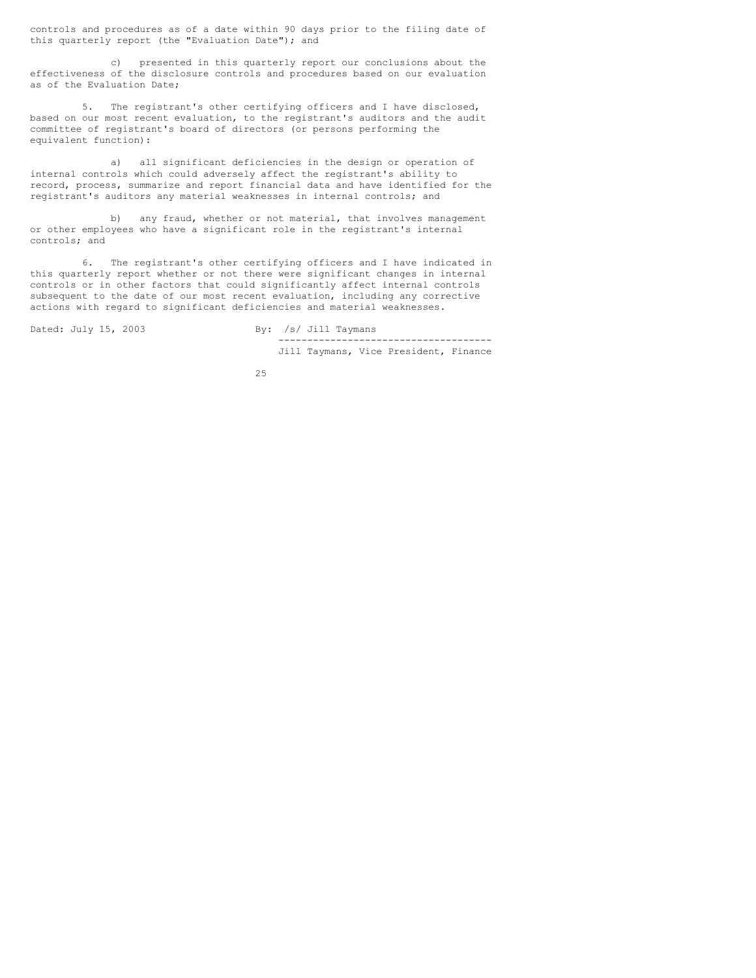controls and procedures as of a date within 90 days prior to the filing date of this quarterly report (the "Evaluation Date"); and

c) presented in this quarterly report our conclusions about the effectiveness of the disclosure controls and procedures based on our evaluation as of the Evaluation Date;

5. The registrant's other certifying officers and I have disclosed, based on our most recent evaluation, to the registrant's auditors and the audit committee of registrant's board of directors (or persons performing the equivalent function):

a) all significant deficiencies in the design or operation of internal controls which could adversely affect the registrant's ability to record, process, summarize and report financial data and have identified for the registrant's auditors any material weaknesses in internal controls; and

b) any fraud, whether or not material, that involves management or other employees who have a significant role in the registrant's internal controls; and

6. The registrant's other certifying officers and I have indicated in this quarterly report whether or not there were significant changes in internal controls or in other factors that could significantly affect internal controls subsequent to the date of our most recent evaluation, including any corrective actions with regard to significant deficiencies and material weaknesses.

Dated: July 15, 2003 By: /s/ Jill Taymans ------------------------------------- Jill Taymans, Vice President, Finance

25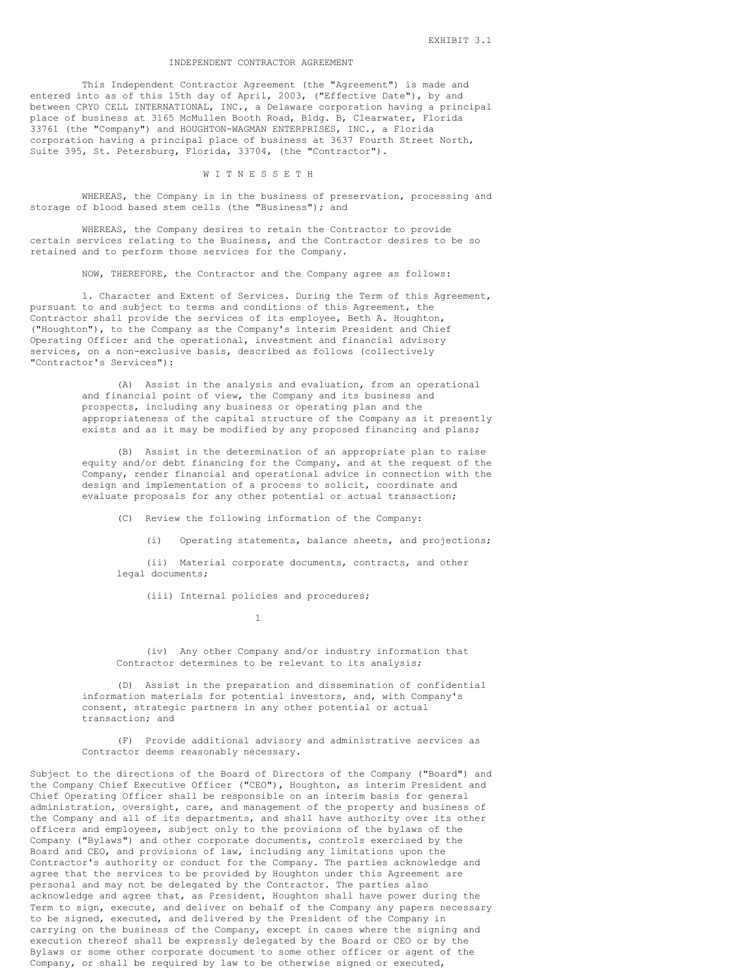### INDEPENDENT CONTRACTOR AGREEMENT

This Independent Contractor Agreement (the "Agreement") is made and entered into as of this 15th day of April, 2003, ("Effective Date"), by and between CRYO CELL INTERNATIONAL, INC., a Delaware corporation having a principal place of business at 3165 McMullen Booth Road, Bldg. B, Clearwater, Florida 33761 (the "Company") and HOUGHTON-WAGMAN ENTERPRISES, INC., a Florida corporation having a principal place of business at 3637 Fourth Street North, Suite 395, St. Petersburg, Florida, 33704, (the "Contractor").

#### W I T N E S S E T H

WHEREAS, the Company is in the business of preservation, processing and storage of blood based stem cells (the "Business"); and

WHEREAS, the Company desires to retain the Contractor to provide certain services relating to the Business, and the Contractor desires to be so retained and to perform those services for the Company.

NOW, THEREFORE, the Contractor and the Company agree as follows:

1. Character and Extent of Services. During the Term of this Agreement, pursuant to and subject to terms and conditions of this Agreement, the Contractor shall provide the services of its employee, Beth A. Houghton, ("Houghton"), to the Company as the Company's interim President and Chief Operating Officer and the operational, investment and financial advisory services, on a non-exclusive basis, described as follows (collectively "Contractor's Services"):

> (A) Assist in the analysis and evaluation, from an operational and financial point of view, the Company and its business and prospects, including any business or operating plan and the appropriateness of the capital structure of the Company as it presently exists and as it may be modified by any proposed financing and plans;

> (B) Assist in the determination of an appropriate plan to raise equity and/or debt financing for the Company, and at the request of the Company, render financial and operational advice in connection with the design and implementation of a process to solicit, coordinate and evaluate proposals for any other potential or actual transaction;

(C) Review the following information of the Company:

(i) Operating statements, balance sheets, and projections;

(ii) Material corporate documents, contracts, and other legal documents;

(iii) Internal policies and procedures;

1

(iv) Any other Company and/or industry information that Contractor determines to be relevant to its analysis;

(D) Assist in the preparation and dissemination of confidential information materials for potential investors, and, with Company's consent, strategic partners in any other potential or actual transaction; and

(F) Provide additional advisory and administrative services as Contractor deems reasonably necessary.

Subject to the directions of the Board of Directors of the Company ("Board") and the Company Chief Executive Officer ("CEO"), Houghton, as interim President and Chief Operating Officer shall be responsible on an interim basis for general administration, oversight, care, and management of the property and business of the Company and all of its departments, and shall have authority over its other officers and employees, subject only to the provisions of the bylaws of the Company ("Bylaws") and other corporate documents, controls exercised by the Board and CEO, and provisions of law, including any limitations upon the Contractor's authority or conduct for the Company. The parties acknowledge and agree that the services to be provided by Houghton under this Agreement are personal and may not be delegated by the Contractor. The parties also acknowledge and agree that, as President, Houghton shall have power during the Term to sign, execute, and deliver on behalf of the Company any papers necessary to be signed, executed, and delivered by the President of the Company in carrying on the business of the Company, except in cases where the signing and execution thereof shall be expressly delegated by the Board or CEO or by the Bylaws or some other corporate document to some other officer or agent of the Company, or shall be required by law to be otherwise signed or executed,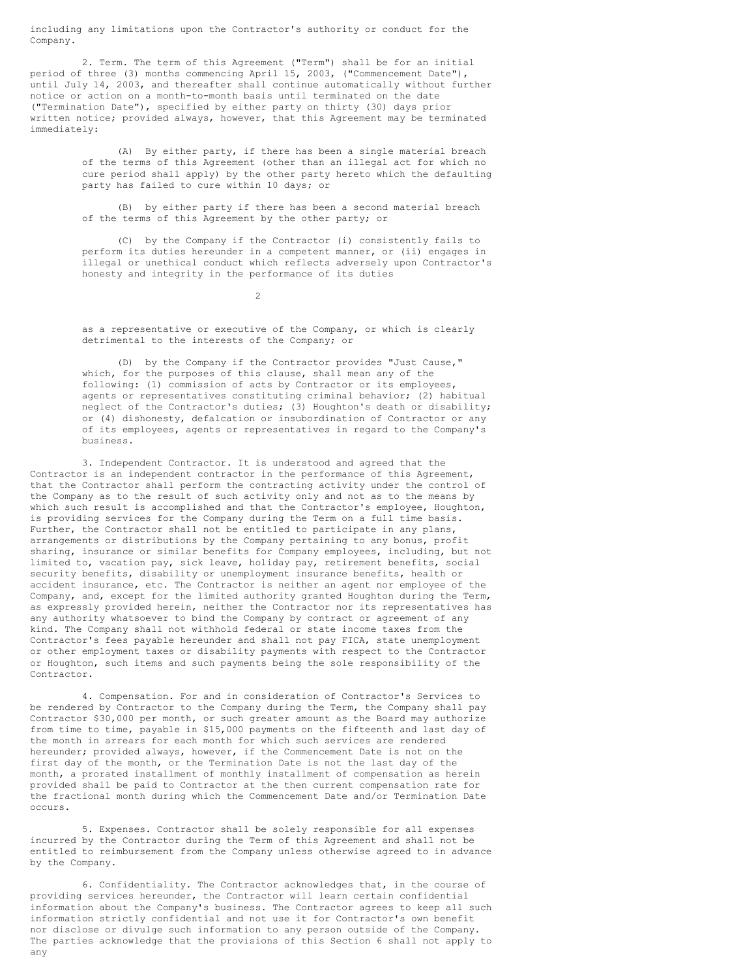including any limitations upon the Contractor's authority or conduct for the Company.

2. Term. The term of this Agreement ("Term") shall be for an initial period of three (3) months commencing April 15, 2003, ("Commencement Date"), until July 14, 2003, and thereafter shall continue automatically without further notice or action on a month-to-month basis until terminated on the date ("Termination Date"), specified by either party on thirty (30) days prior written notice; provided always, however, that this Agreement may be terminated immediately:

> (A) By either party, if there has been a single material breach of the terms of this Agreement (other than an illegal act for which no cure period shall apply) by the other party hereto which the defaulting party has failed to cure within 10 days; or

(B) by either party if there has been a second material breach of the terms of this Agreement by the other party; or

(C) by the Company if the Contractor (i) consistently fails to perform its duties hereunder in a competent manner, or (ii) engages in illegal or unethical conduct which reflects adversely upon Contractor's honesty and integrity in the performance of its duties

 $\mathcal{D}$ 

as a representative or executive of the Company, or which is clearly detrimental to the interests of the Company; or

(D) by the Company if the Contractor provides "Just Cause," which, for the purposes of this clause, shall mean any of the following: (1) commission of acts by Contractor or its employees, agents or representatives constituting criminal behavior; (2) habitual neglect of the Contractor's duties; (3) Houghton's death or disability; or (4) dishonesty, defalcation or insubordination of Contractor or any of its employees, agents or representatives in regard to the Company's business.

3. Independent Contractor. It is understood and agreed that the Contractor is an independent contractor in the performance of this Agreement, that the Contractor shall perform the contracting activity under the control of the Company as to the result of such activity only and not as to the means by which such result is accomplished and that the Contractor's employee, Houghton, is providing services for the Company during the Term on a full time basis. Further, the Contractor shall not be entitled to participate in any plans, arrangements or distributions by the Company pertaining to any bonus, profit sharing, insurance or similar benefits for Company employees, including, but not limited to, vacation pay, sick leave, holiday pay, retirement benefits, social security benefits, disability or unemployment insurance benefits, health or accident insurance, etc. The Contractor is neither an agent nor employee of the Company, and, except for the limited authority granted Houghton during the Term, as expressly provided herein, neither the Contractor nor its representatives has any authority whatsoever to bind the Company by contract or agreement of any kind. The Company shall not withhold federal or state income taxes from the Contractor's fees payable hereunder and shall not pay FICA, state unemployment or other employment taxes or disability payments with respect to the Contractor or Houghton, such items and such payments being the sole responsibility of the Contractor.

4. Compensation. For and in consideration of Contractor's Services to be rendered by Contractor to the Company during the Term, the Company shall pay Contractor \$30,000 per month, or such greater amount as the Board may authorize from time to time, payable in \$15,000 payments on the fifteenth and last day of the month in arrears for each month for which such services are rendered hereunder; provided always, however, if the Commencement Date is not on the first day of the month, or the Termination Date is not the last day of the month, a prorated installment of monthly installment of compensation as herein provided shall be paid to Contractor at the then current compensation rate for the fractional month during which the Commencement Date and/or Termination Date occurs.

5. Expenses. Contractor shall be solely responsible for all expenses incurred by the Contractor during the Term of this Agreement and shall not be entitled to reimbursement from the Company unless otherwise agreed to in advance by the Company.

6. Confidentiality. The Contractor acknowledges that, in the course of providing services hereunder, the Contractor will learn certain confidential information about the Company's business. The Contractor agrees to keep all such information strictly confidential and not use it for Contractor's own benefit nor disclose or divulge such information to any person outside of the Company. The parties acknowledge that the provisions of this Section 6 shall not apply to any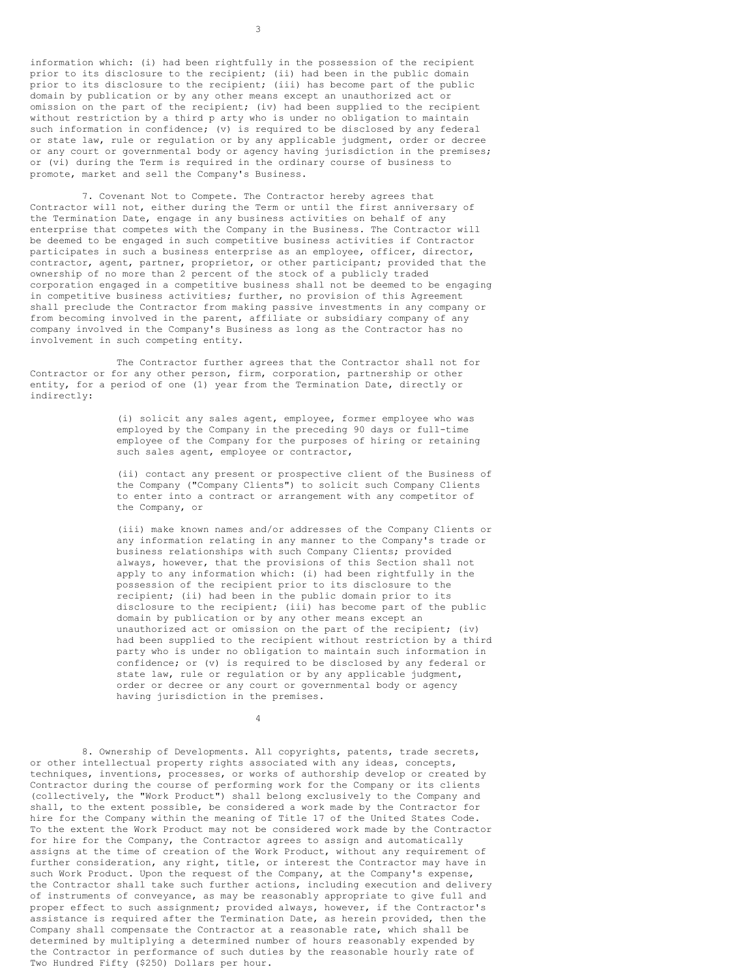information which: (i) had been rightfully in the possession of the recipient prior to its disclosure to the recipient; (ii) had been in the public domain prior to its disclosure to the recipient; (iii) has become part of the public domain by publication or by any other means except an unauthorized act or omission on the part of the recipient; (iv) had been supplied to the recipient without restriction by a third p arty who is under no obligation to maintain such information in confidence; (v) is required to be disclosed by any federal or state law, rule or regulation or by any applicable judgment, order or decree or any court or governmental body or agency having jurisdiction in the premises; or (vi) during the Term is required in the ordinary course of business to promote, market and sell the Company's Business.

7. Covenant Not to Compete. The Contractor hereby agrees that Contractor will not, either during the Term or until the first anniversary of the Termination Date, engage in any business activities on behalf of any enterprise that competes with the Company in the Business. The Contractor will be deemed to be engaged in such competitive business activities if Contractor participates in such a business enterprise as an employee, officer, director, contractor, agent, partner, proprietor, or other participant; provided that the ownership of no more than 2 percent of the stock of a publicly traded corporation engaged in a competitive business shall not be deemed to be engaging in competitive business activities; further, no provision of this Agreement shall preclude the Contractor from making passive investments in any company or from becoming involved in the parent, affiliate or subsidiary company of any company involved in the Company's Business as long as the Contractor has no involvement in such competing entity.

The Contractor further agrees that the Contractor shall not for Contractor or for any other person, firm, corporation, partnership or other entity, for a period of one (1) year from the Termination Date, directly or indirectly:

> (i) solicit any sales agent, employee, former employee who was employed by the Company in the preceding 90 days or full-time employee of the Company for the purposes of hiring or retaining such sales agent, employee or contractor,

(ii) contact any present or prospective client of the Business of the Company ("Company Clients") to solicit such Company Clients to enter into a contract or arrangement with any competitor of the Company, or

(iii) make known names and/or addresses of the Company Clients or any information relating in any manner to the Company's trade or business relationships with such Company Clients; provided always, however, that the provisions of this Section shall not apply to any information which: (i) had been rightfully in the possession of the recipient prior to its disclosure to the recipient; (ii) had been in the public domain prior to its disclosure to the recipient; (iii) has become part of the public domain by publication or by any other means except an unauthorized act or omission on the part of the recipient; (iv) had been supplied to the recipient without restriction by a third party who is under no obligation to maintain such information in confidence; or (v) is required to be disclosed by any federal or state law, rule or regulation or by any applicable judgment, order or decree or any court or governmental body or agency having jurisdiction in the premises.

8. Ownership of Developments. All copyrights, patents, trade secrets, or other intellectual property rights associated with any ideas, concepts, techniques, inventions, processes, or works of authorship develop or created by Contractor during the course of performing work for the Company or its clients (collectively, the "Work Product") shall belong exclusively to the Company and shall, to the extent possible, be considered a work made by the Contractor for hire for the Company within the meaning of Title 17 of the United States Code. To the extent the Work Product may not be considered work made by the Contractor for hire for the Company, the Contractor agrees to assign and automatically assigns at the time of creation of the Work Product, without any requirement of further consideration, any right, title, or interest the Contractor may have in such Work Product. Upon the request of the Company, at the Company's expense, the Contractor shall take such further actions, including execution and delivery of instruments of conveyance, as may be reasonably appropriate to give full and proper effect to such assignment; provided always, however, if the Contractor's assistance is required after the Termination Date, as herein provided, then the Company shall compensate the Contractor at a reasonable rate, which shall be determined by multiplying a determined number of hours reasonably expended by the Contractor in performance of such duties by the reasonable hourly rate of Two Hundred Fifty (\$250) Dollars per hour.

4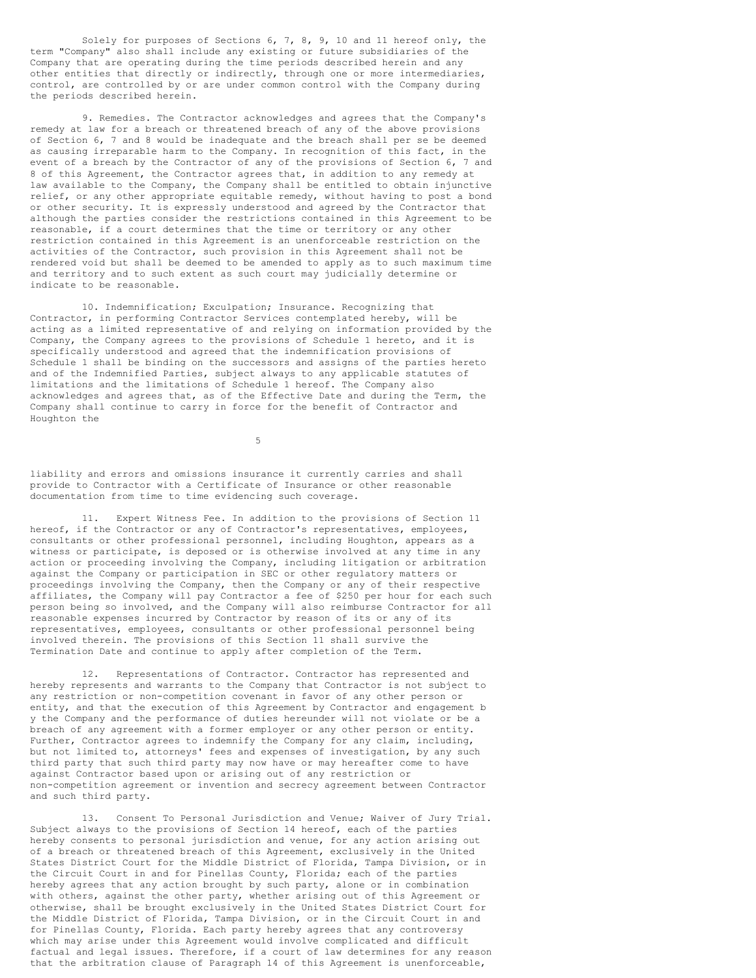Solely for purposes of Sections 6, 7, 8, 9, 10 and 11 hereof only, the term "Company" also shall include any existing or future subsidiaries of the Company that are operating during the time periods described herein and any other entities that directly or indirectly, through one or more intermediaries, control, are controlled by or are under common control with the Company during the periods described herein.

9. Remedies. The Contractor acknowledges and agrees that the Company's remedy at law for a breach or threatened breach of any of the above provisions of Section 6, 7 and 8 would be inadequate and the breach shall per se be deemed as causing irreparable harm to the Company. In recognition of this fact, in the event of a breach by the Contractor of any of the provisions of Section 6, 7 and 8 of this Agreement, the Contractor agrees that, in addition to any remedy at law available to the Company, the Company shall be entitled to obtain injunctive relief, or any other appropriate equitable remedy, without having to post a bond or other security. It is expressly understood and agreed by the Contractor that although the parties consider the restrictions contained in this Agreement to be reasonable, if a court determines that the time or territory or any other restriction contained in this Agreement is an unenforceable restriction on the activities of the Contractor, such provision in this Agreement shall not be rendered void but shall be deemed to be amended to apply as to such maximum time and territory and to such extent as such court may judicially determine or indicate to be reasonable.

10. Indemnification; Exculpation; Insurance. Recognizing that Contractor, in performing Contractor Services contemplated hereby, will be acting as a limited representative of and relying on information provided by the Company, the Company agrees to the provisions of Schedule 1 hereto, and it is specifically understood and agreed that the indemnification provisions of Schedule 1 shall be binding on the successors and assigns of the parties hereto and of the Indemnified Parties, subject always to any applicable statutes of limitations and the limitations of Schedule 1 hereof. The Company also acknowledges and agrees that, as of the Effective Date and during the Term, the Company shall continue to carry in force for the benefit of Contractor and Houghton the

5

liability and errors and omissions insurance it currently carries and shall provide to Contractor with a Certificate of Insurance or other reasonable documentation from time to time evidencing such coverage.

11. Expert Witness Fee. In addition to the provisions of Section 11 hereof, if the Contractor or any of Contractor's representatives, employees, consultants or other professional personnel, including Houghton, appears as a witness or participate, is deposed or is otherwise involved at any time in any action or proceeding involving the Company, including litigation or arbitration against the Company or participation in SEC or other regulatory matters or proceedings involving the Company, then the Company or any of their respective affiliates, the Company will pay Contractor a fee of \$250 per hour for each such person being so involved, and the Company will also reimburse Contractor for all reasonable expenses incurred by Contractor by reason of its or any of its representatives, employees, consultants or other professional personnel being involved therein. The provisions of this Section 11 shall survive the Termination Date and continue to apply after completion of the Term.

12. Representations of Contractor. Contractor has represented and hereby represents and warrants to the Company that Contractor is not subject to any restriction or non-competition covenant in favor of any other person or entity, and that the execution of this Agreement by Contractor and engagement b y the Company and the performance of duties hereunder will not violate or be a breach of any agreement with a former employer or any other person or entity. Further, Contractor agrees to indemnify the Company for any claim, including, but not limited to, attorneys' fees and expenses of investigation, by any such third party that such third party may now have or may hereafter come to have against Contractor based upon or arising out of any restriction or non-competition agreement or invention and secrecy agreement between Contractor and such third party.

13. Consent To Personal Jurisdiction and Venue; Waiver of Jury Trial. Subject always to the provisions of Section 14 hereof, each of the parties hereby consents to personal jurisdiction and venue, for any action arising out of a breach or threatened breach of this Agreement, exclusively in the United States District Court for the Middle District of Florida, Tampa Division, or in the Circuit Court in and for Pinellas County, Florida; each of the parties hereby agrees that any action brought by such party, alone or in combination with others, against the other party, whether arising out of this Agreement or otherwise, shall be brought exclusively in the United States District Court for the Middle District of Florida, Tampa Division, or in the Circuit Court in and for Pinellas County, Florida. Each party hereby agrees that any controversy which may arise under this Agreement would involve complicated and difficult factual and legal issues. Therefore, if a court of law determines for any reason that the arbitration clause of Paragraph 14 of this Agreement is unenforceable,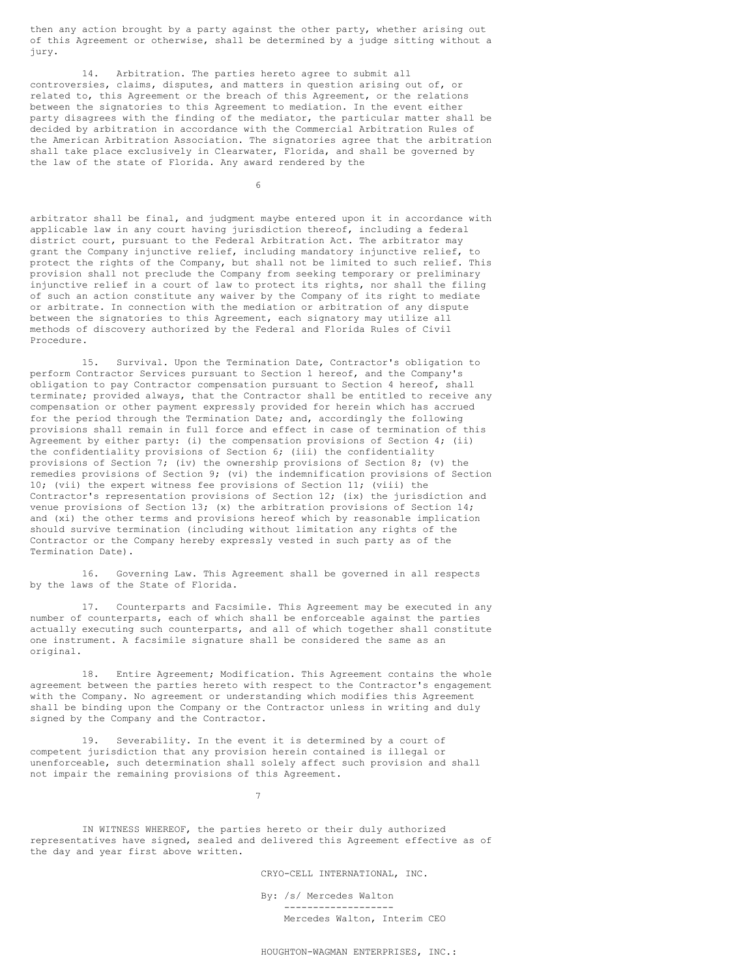then any action brought by a party against the other party, whether arising out of this Agreement or otherwise, shall be determined by a judge sitting without a jury.

14. Arbitration. The parties hereto agree to submit all controversies, claims, disputes, and matters in question arising out of, or related to, this Agreement or the breach of this Agreement, or the relations between the signatories to this Agreement to mediation. In the event either party disagrees with the finding of the mediator, the particular matter shall be decided by arbitration in accordance with the Commercial Arbitration Rules of the American Arbitration Association. The signatories agree that the arbitration shall take place exclusively in Clearwater, Florida, and shall be governed by the law of the state of Florida. Any award rendered by the

6

arbitrator shall be final, and judgment maybe entered upon it in accordance with applicable law in any court having jurisdiction thereof, including a federal district court, pursuant to the Federal Arbitration Act. The arbitrator may grant the Company injunctive relief, including mandatory injunctive relief, to protect the rights of the Company, but shall not be limited to such relief. This provision shall not preclude the Company from seeking temporary or preliminary injunctive relief in a court of law to protect its rights, nor shall the filing of such an action constitute any waiver by the Company of its right to mediate or arbitrate. In connection with the mediation or arbitration of any dispute between the signatories to this Agreement, each signatory may utilize all methods of discovery authorized by the Federal and Florida Rules of Civil Procedure.

15. Survival. Upon the Termination Date, Contractor's obligation to perform Contractor Services pursuant to Section 1 hereof, and the Company's obligation to pay Contractor compensation pursuant to Section 4 hereof, shall terminate; provided always, that the Contractor shall be entitled to receive any compensation or other payment expressly provided for herein which has accrued for the period through the Termination Date; and, accordingly the following provisions shall remain in full force and effect in case of termination of this Agreement by either party: (i) the compensation provisions of Section 4; (ii) the confidentiality provisions of Section 6; (iii) the confidentiality provisions of Section 7; (iv) the ownership provisions of Section 8; (v) the remedies provisions of Section 9; (vi) the indemnification provisions of Section 10; (vii) the expert witness fee provisions of Section 11; (viii) the Contractor's representation provisions of Section 12; (ix) the jurisdiction and venue provisions of Section 13; (x) the arbitration provisions of Section 14; and (xi) the other terms and provisions hereof which by reasonable implication should survive termination (including without limitation any rights of the Contractor or the Company hereby expressly vested in such party as of the Termination Date).

16. Governing Law. This Agreement shall be governed in all respects by the laws of the State of Florida.

17. Counterparts and Facsimile. This Agreement may be executed in any number of counterparts, each of which shall be enforceable against the parties actually executing such counterparts, and all of which together shall constitute one instrument. A facsimile signature shall be considered the same as an original.

18. Entire Agreement; Modification. This Agreement contains the whole agreement between the parties hereto with respect to the Contractor's engagement with the Company. No agreement or understanding which modifies this Agreement shall be binding upon the Company or the Contractor unless in writing and duly signed by the Company and the Contractor.

19. Severability. In the event it is determined by a court of competent jurisdiction that any provision herein contained is illegal or unenforceable, such determination shall solely affect such provision and shall not impair the remaining provisions of this Agreement.

7

IN WITNESS WHEREOF, the parties hereto or their duly authorized representatives have signed, sealed and delivered this Agreement effective as of the day and year first above written.

CRYO-CELL INTERNATIONAL, INC.

By: /s/ Mercedes Walton ------------------- Mercedes Walton, Interim CEO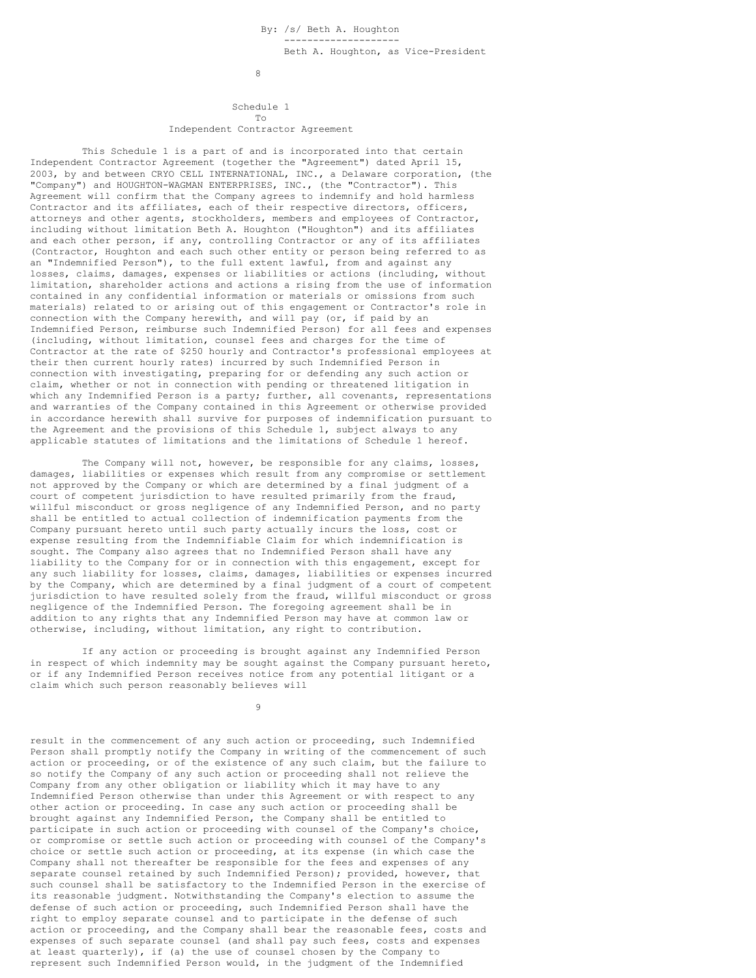8

## Schedule 1 To Independent Contractor Agreement

This Schedule 1 is a part of and is incorporated into that certain Independent Contractor Agreement (together the "Agreement") dated April 15, 2003, by and between CRYO CELL INTERNATIONAL, INC., a Delaware corporation, (the "Company") and HOUGHTON-WAGMAN ENTERPRISES, INC., (the "Contractor"). This Agreement will confirm that the Company agrees to indemnify and hold harmless Contractor and its affiliates, each of their respective directors, officers, attorneys and other agents, stockholders, members and employees of Contractor, including without limitation Beth A. Houghton ("Houghton") and its affiliates and each other person, if any, controlling Contractor or any of its affiliates (Contractor, Houghton and each such other entity or person being referred to as an "Indemnified Person"), to the full extent lawful, from and against any losses, claims, damages, expenses or liabilities or actions (including, without limitation, shareholder actions and actions a rising from the use of information contained in any confidential information or materials or omissions from such materials) related to or arising out of this engagement or Contractor's role in connection with the Company herewith, and will pay (or, if paid by an Indemnified Person, reimburse such Indemnified Person) for all fees and expenses (including, without limitation, counsel fees and charges for the time of Contractor at the rate of \$250 hourly and Contractor's professional employees at their then current hourly rates) incurred by such Indemnified Person in connection with investigating, preparing for or defending any such action or claim, whether or not in connection with pending or threatened litigation in which any Indemnified Person is a party; further, all covenants, representations and warranties of the Company contained in this Agreement or otherwise provided in accordance herewith shall survive for purposes of indemnification pursuant to the Agreement and the provisions of this Schedule 1, subject always to any applicable statutes of limitations and the limitations of Schedule 1 hereof.

The Company will not, however, be responsible for any claims, losses, damages, liabilities or expenses which result from any compromise or settlement not approved by the Company or which are determined by a final judgment of a court of competent jurisdiction to have resulted primarily from the fraud, willful misconduct or gross negligence of any Indemnified Person, and no party shall be entitled to actual collection of indemnification payments from the Company pursuant hereto until such party actually incurs the loss, cost or expense resulting from the Indemnifiable Claim for which indemnification is sought. The Company also agrees that no Indemnified Person shall have any liability to the Company for or in connection with this engagement, except for any such liability for losses, claims, damages, liabilities or expenses incurred by the Company, which are determined by a final judgment of a court of competent jurisdiction to have resulted solely from the fraud, willful misconduct or gross negligence of the Indemnified Person. The foregoing agreement shall be in addition to any rights that any Indemnified Person may have at common law or otherwise, including, without limitation, any right to contribution.

If any action or proceeding is brought against any Indemnified Person in respect of which indemnity may be sought against the Company pursuant hereto, or if any Indemnified Person receives notice from any potential litigant or a claim which such person reasonably believes will

9

result in the commencement of any such action or proceeding, such Indemnified Person shall promptly notify the Company in writing of the commencement of such action or proceeding, or of the existence of any such claim, but the failure to so notify the Company of any such action or proceeding shall not relieve the Company from any other obligation or liability which it may have to any Indemnified Person otherwise than under this Agreement or with respect to any other action or proceeding. In case any such action or proceeding shall be brought against any Indemnified Person, the Company shall be entitled to participate in such action or proceeding with counsel of the Company's choice, or compromise or settle such action or proceeding with counsel of the Company's choice or settle such action or proceeding, at its expense (in which case the Company shall not thereafter be responsible for the fees and expenses of any separate counsel retained by such Indemnified Person); provided, however, that such counsel shall be satisfactory to the Indemnified Person in the exercise of its reasonable judgment. Notwithstanding the Company's election to assume the defense of such action or proceeding, such Indemnified Person shall have the right to employ separate counsel and to participate in the defense of such action or proceeding, and the Company shall bear the reasonable fees, costs and expenses of such separate counsel (and shall pay such fees, costs and expenses at least quarterly), if (a) the use of counsel chosen by the Company to represent such Indemnified Person would, in the judgment of the Indemnified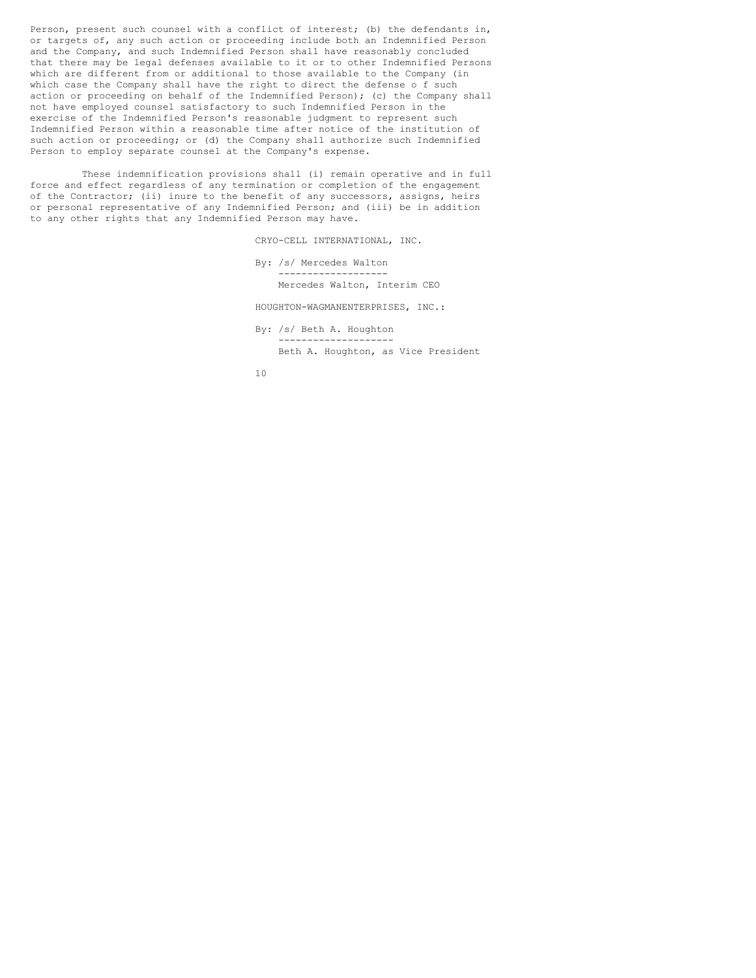Person, present such counsel with a conflict of interest; (b) the defendants in, or targets of, any such action or proceeding include both an Indemnified Person and the Company, and such Indemnified Person shall have reasonably concluded that there may be legal defenses available to it or to other Indemnified Persons which are different from or additional to those available to the Company (in which case the Company shall have the right to direct the defense o f such action or proceeding on behalf of the Indemnified Person); (c) the Company shall not have employed counsel satisfactory to such Indemnified Person in the exercise of the Indemnified Person's reasonable judgment to represent such Indemnified Person within a reasonable time after notice of the institution of such action or proceeding; or (d) the Company shall authorize such Indemnified Person to employ separate counsel at the Company's expense.

These indemnification provisions shall (i) remain operative and in full force and effect regardless of any termination or completion of the engagement of the Contractor; (ii) inure to the benefit of any successors, assigns, heirs or personal representative of any Indemnified Person; and (iii) be in addition to any other rights that any Indemnified Person may have.

CRYO-CELL INTERNATIONAL, INC.

By: /s/ Mercedes Walton ------------------- Mercedes Walton, Interim CEO

HOUGHTON-WAGMANENTERPRISES, INC.:

By: /s/ Beth A. Houghton -------------------- Beth A. Houghton, as Vice President

10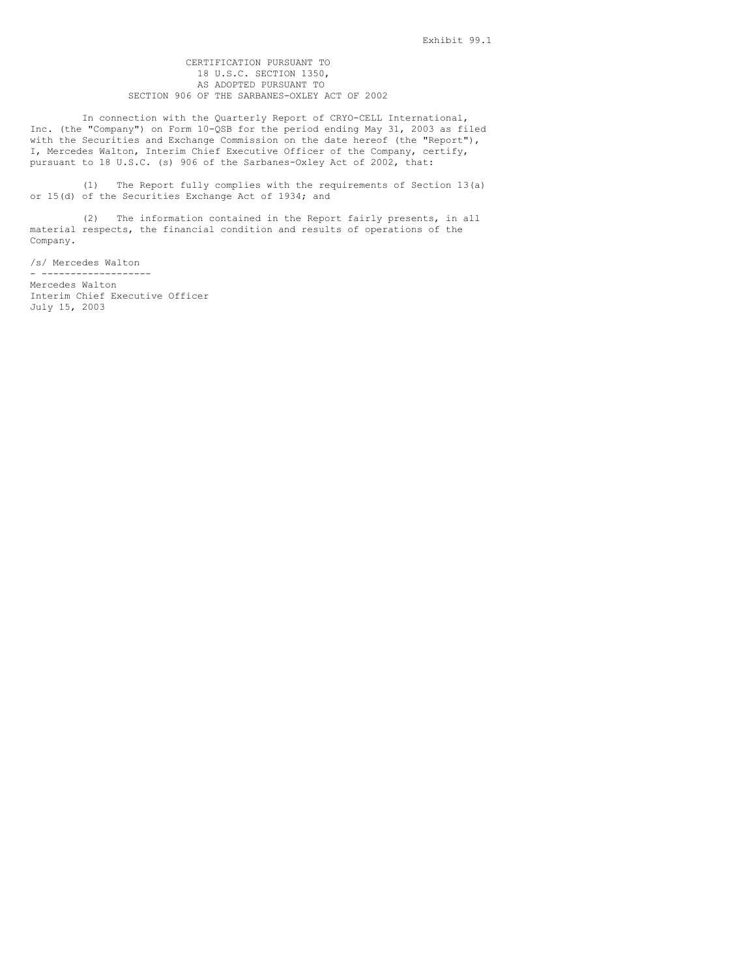# CERTIFICATION PURSUANT TO 18 U.S.C. SECTION 1350, AS ADOPTED PURSUANT TO SECTION 906 OF THE SARBANES-OXLEY ACT OF 2002

In connection with the Quarterly Report of CRYO-CELL International, Inc. (the "Company") on Form 10-QSB for the period ending May 31, 2003 as filed with the Securities and Exchange Commission on the date hereof (the "Report"), I, Mercedes Walton, Interim Chief Executive Officer of the Company, certify, pursuant to 18 U.S.C. (s) 906 of the Sarbanes-Oxley Act of 2002, that:

(1) The Report fully complies with the requirements of Section 13(a) or 15(d) of the Securities Exchange Act of 1934; and

(2) The information contained in the Report fairly presents, in all material respects, the financial condition and results of operations of the Company.

/s/ Mercedes Walton - -------------------

Mercedes Walton Interim Chief Executive Officer July 15, 2003